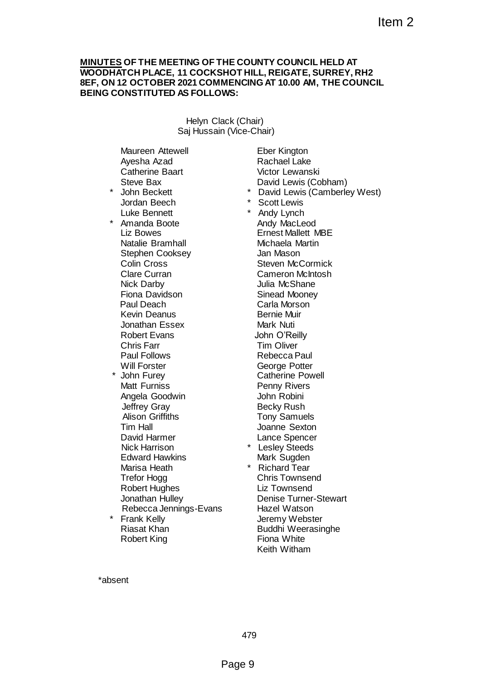## **MINUTES OF THE MEETING OF THE COUNTY COUNCIL HELD AT WOODHATCH PLACE, 11 COCKSHOT HILL, REIGATE, SURREY, RH2 8EF, ON 12 OCTOBER 2021 COMMENCING AT 10.00 AM, THE COUNCIL BEING CONSTITUTED AS FOLLOWS:**

Helyn Clack (Chair) Saj Hussain (Vice-Chair)

Maureen Attewell Ayesha Azad Catherine Baart Steve Bax

- John Beckett Jordan Beech Luke Bennett
- Amanda Boote Liz Bowes Natalie Bramhall Stephen Cooksey Colin Cross Clare Curran Nick Darby Fiona Davidson Paul Deach Kevin Deanus Jonathan Essex Robert Evans Chris Farr Paul Follows Will Forster
- \* John Furey Matt Furniss Angela Goodwin Jeffrey Gray Alison Griffiths Tim Hall David Harmer Nick Harrison Edward Hawkins Marisa Heath Trefor Hogg Robert Hughes Jonathan Hulley Rebecca Jennings-Evans **Frank Kelly** Riasat Khan Robert King

Eber Kington Rachael Lake Victor Lewanski David Lewis (Cobham) David Lewis (Camberley West) **Scott Lewis** Andy Lynch Andy MacLeod Ernest Mallett MBE Michaela Martin Jan Mason Steven McCormick Cameron McIntosh Julia McShane Sinead Mooney Carla Morson Bernie Muir Mark Nuti John O'Reilly Tim Oliver Rebecca Paul George Potter Catherine Powell Penny Rivers John Robini Becky Rush Tony Samuels Joanne Sexton Lance Spencer \* Lesley Steeds Mark Sugden \* Richard Tear Chris Townsend Liz Townsend Denise Turner-Stewart Hazel Watson Item 2<br>
HE COUNTY COUNCIL HELD AT<br>
HOT HILL, REIGATE, SURREY, RH2<br>
MENCING AT 10.00 AM, THE COUNCIL<br>
WS:<br>
Cock (Chair)<br>
For Kington<br>
For Kington<br>
Pavid Lewis (Sobham)<br>
- David Lewis (Samberley West)<br>
- Scott Lewis<br>
Andy Ly

Jeremy Webster Buddhi Weerasinghe

Fiona White Keith Witham

\*absent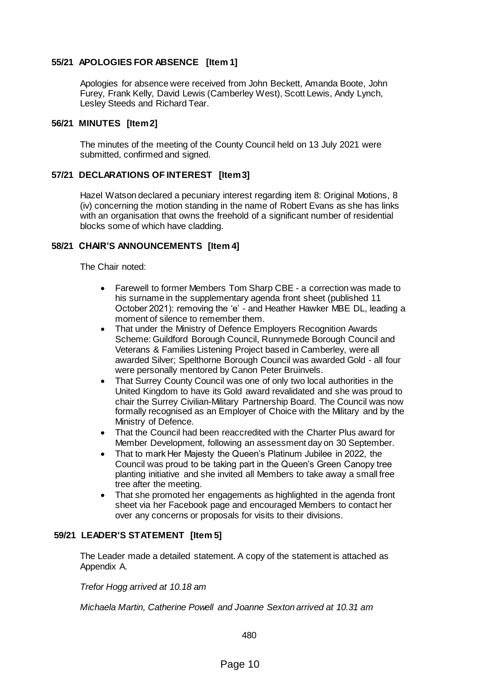# **55/21 APOLOGIES FOR ABSENCE [Item 1]**

Apologies for absence were received from John Beckett, Amanda Boote, John Furey, Frank Kelly, David Lewis (Camberley West), Scott Lewis, Andy Lynch, Lesley Steeds and Richard Tear.

## **56/21 MINUTES [Item 2]**

The minutes of the meeting of the County Council held on 13 July 2021 were submitted, confirmed and signed.

## **57/21 DECLARATIONS OF INTEREST [Item 3]**

Hazel Watson declared a pecuniary interest regarding item 8: Original Motions, 8 (iv) concerning the motion standing in the name of Robert Evans as she has links with an organisation that owns the freehold of a significant number of residential blocks some of which have cladding.

## **58/21 CHAIR'S ANNOUNCEMENTS [Item 4]**

The Chair noted:

- Farewell to former Members Tom Sharp CBE a correction was made to his surname in the supplementary agenda front sheet (published 11 October 2021): removing the 'e' - and Heather Hawker MBE DL, leading a moment of silence to remember them.
- That under the Ministry of Defence Employers Recognition Awards Scheme: Guildford Borough Council, Runnymede Borough Council and Veterans & Families Listening Project based in Camberley, were all awarded Silver; Spelthorne Borough Council was awarded Gold - all four were personally mentored by Canon Peter Bruinvels.
- That Surrey County Council was one of only two local authorities in the United Kingdom to have its Gold award revalidated and she was proud to chair the Surrey Civilian-Military Partnership Board. The Council was now formally recognised as an Employer of Choice with the Military and by the Ministry of Defence.
- That the Council had been reaccredited with the Charter Plus award for Member Development, following an assessment day on 30 September.
- That to mark Her Majesty the Queen's Platinum Jubilee in 2022, the Council was proud to be taking part in the Queen's Green Canopy tree planting initiative and she invited all Members to take away a small free tree after the meeting.
- That she promoted her engagements as highlighted in the agenda front sheet via her Facebook page and encouraged Members to contact her over any concerns or proposals for visits to their divisions.

#### **59/21 LEADER'S STATEMENT [Item 5]**

The Leader made a detailed statement. A copy of the statement is attached as Appendix A.

*Trefor Hogg arrived at 10.18 am*

*Michaela Martin, Catherine Powell and Joanne Sexton arrived at 10.31 am*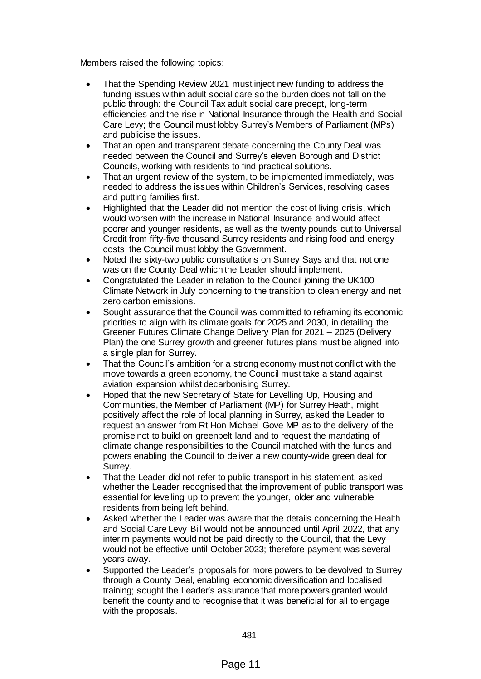Members raised the following topics:

- That the Spending Review 2021 must inject new funding to address the funding issues within adult social care so the burden does not fall on the public through: the Council Tax adult social care precept, long-term efficiencies and the rise in National Insurance through the Health and Social Care Levy; the Council must lobby Surrey's Members of Parliament (MPs) and publicise the issues.
- That an open and transparent debate concerning the County Deal was needed between the Council and Surrey's eleven Borough and District Councils, working with residents to find practical solutions.
- That an urgent review of the system, to be implemented immediately, was needed to address the issues within Children's Services, resolving cases and putting families first.
- Highlighted that the Leader did not mention the cost of living crisis, which would worsen with the increase in National Insurance and would affect poorer and younger residents, as well as the twenty pounds cut to Universal Credit from fifty-five thousand Surrey residents and rising food and energy costs; the Council must lobby the Government.
- Noted the sixty-two public consultations on Surrey Says and that not one was on the County Deal which the Leader should implement.
- Congratulated the Leader in relation to the Council joining the UK100 Climate Network in July concerning to the transition to clean energy and net zero carbon emissions.
- Sought assurance that the Council was committed to reframing its economic priorities to align with its climate goals for 2025 and 2030, in detailing the Greener Futures Climate Change Delivery Plan for 2021 – 2025 (Delivery Plan) the one Surrey growth and greener futures plans must be aligned into a single plan for Surrey.
- That the Council's ambition for a strong economy must not conflict with the move towards a green economy, the Council must take a stand against aviation expansion whilst decarbonising Surrey.
- Hoped that the new Secretary of State for Levelling Up, Housing and Communities, the Member of Parliament (MP) for Surrey Heath, might positively affect the role of local planning in Surrey, asked the Leader to request an answer from Rt Hon Michael Gove MP as to the delivery of the promise not to build on greenbelt land and to request the mandating of climate change responsibilities to the Council matched with the funds and powers enabling the Council to deliver a new county-wide green deal for Surrey.
- That the Leader did not refer to public transport in his statement, asked whether the Leader recognised that the improvement of public transport was essential for levelling up to prevent the younger, older and vulnerable residents from being left behind.
- Asked whether the Leader was aware that the details concerning the Health and Social Care Levy Bill would not be announced until April 2022, that any interim payments would not be paid directly to the Council, that the Levy would not be effective until October 2023; therefore payment was several years away.
- Supported the Leader's proposals for more powers to be devolved to Surrey through a County Deal, enabling economic diversification and localised training; sought the Leader's assurance that more powers granted would benefit the county and to recognise that it was beneficial for all to engage with the proposals.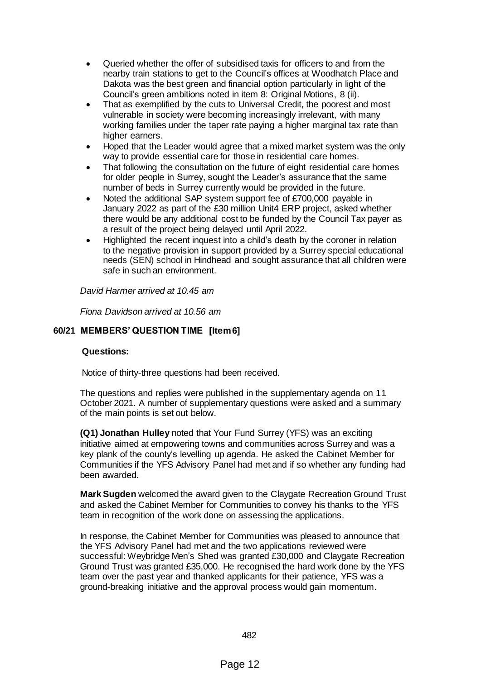- Queried whether the offer of subsidised taxis for officers to and from the nearby train stations to get to the Council's offices at Woodhatch Place and Dakota was the best green and financial option particularly in light of the Council's green ambitions noted in item 8: Original Motions, 8 (ii).
- That as exemplified by the cuts to Universal Credit, the poorest and most vulnerable in society were becoming increasingly irrelevant, with many working families under the taper rate paying a higher marginal tax rate than higher earners.
- Hoped that the Leader would agree that a mixed market system was the only way to provide essential care for those in residential care homes.
- That following the consultation on the future of eight residential care homes for older people in Surrey, sought the Leader's assurance that the same number of beds in Surrey currently would be provided in the future.
- Noted the additional SAP system support fee of £700,000 payable in January 2022 as part of the £30 million Unit4 ERP project, asked whether there would be any additional cost to be funded by the Council Tax payer as a result of the project being delayed until April 2022.
- Highlighted the recent inquest into a child's death by the coroner in relation to the negative provision in support provided by a Surrey special educational needs (SEN) school in Hindhead and sought assurance that all children were safe in such an environment.

*David Harmer arrived at 10.45 am*

*Fiona Davidson arrived at 10.56 am*

# **60/21 MEMBERS' QUESTION TIME [Item 6]**

#### **Questions:**

Notice of thirty-three questions had been received.

The questions and replies were published in the supplementary agenda on 11 October 2021. A number of supplementary questions were asked and a summary of the main points is set out below.

**(Q1) Jonathan Hulley** noted that Your Fund Surrey (YFS) was an exciting initiative aimed at empowering towns and communities across Surrey and was a key plank of the county's levelling up agenda. He asked the Cabinet Member for Communities if the YFS Advisory Panel had met and if so whether any funding had been awarded.

**Mark Sugden** welcomed the award given to the Claygate Recreation Ground Trust and asked the Cabinet Member for Communities to convey his thanks to the YFS team in recognition of the work done on assessing the applications.

In response, the Cabinet Member for Communities was pleased to announce that the YFS Advisory Panel had met and the two applications reviewed were successful: Weybridge Men's Shed was granted £30,000 and Claygate Recreation Ground Trust was granted £35,000. He recognised the hard work done by the YFS team over the past year and thanked applicants for their patience, YFS was a ground-breaking initiative and the approval process would gain momentum.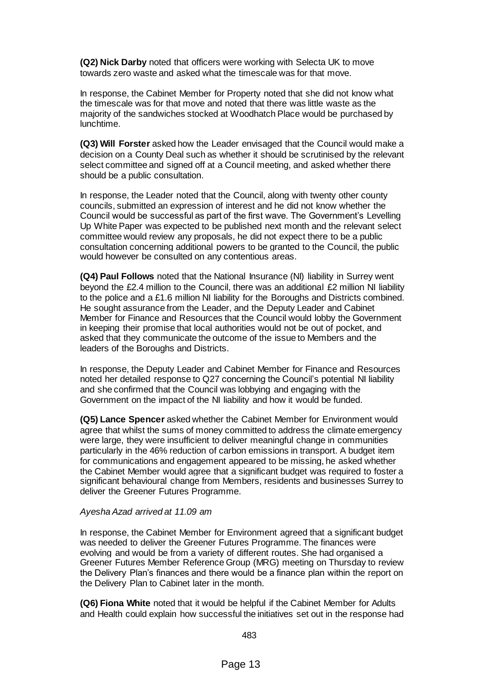**(Q2) Nick Darby** noted that officers were working with Selecta UK to move towards zero waste and asked what the timescale was for that move.

In response, the Cabinet Member for Property noted that she did not know what the timescale was for that move and noted that there was little waste as the majority of the sandwiches stocked at Woodhatch Place would be purchased by lunchtime.

**(Q3) Will Forster** asked how the Leader envisaged that the Council would make a decision on a County Deal such as whether it should be scrutinised by the relevant select committee and signed off at a Council meeting, and asked whether there should be a public consultation.

In response, the Leader noted that the Council, along with twenty other county councils, submitted an expression of interest and he did not know whether the Council would be successful as part of the first wave. The Government's Levelling Up White Paper was expected to be published next month and the relevant select committee would review any proposals, he did not expect there to be a public consultation concerning additional powers to be granted to the Council, the public would however be consulted on any contentious areas.

**(Q4) Paul Follows** noted that the National Insurance (NI) liability in Surrey went beyond the £2.4 million to the Council, there was an additional £2 million NI liability to the police and a £1.6 million NI liability for the Boroughs and Districts combined. He sought assurance from the Leader, and the Deputy Leader and Cabinet Member for Finance and Resources that the Council would lobby the Government in keeping their promise that local authorities would not be out of pocket, and asked that they communicate the outcome of the issue to Members and the leaders of the Boroughs and Districts.

In response, the Deputy Leader and Cabinet Member for Finance and Resources noted her detailed response to Q27 concerning the Council's potential NI liability and she confirmed that the Council was lobbying and engaging with the Government on the impact of the NI liability and how it would be funded.

**(Q5) Lance Spencer** asked whether the Cabinet Member for Environment would agree that whilst the sums of money committed to address the climate emergency were large, they were insufficient to deliver meaningful change in communities particularly in the 46% reduction of carbon emissions in transport. A budget item for communications and engagement appeared to be missing, he asked whether the Cabinet Member would agree that a significant budget was required to foster a significant behavioural change from Members, residents and businesses Surrey to deliver the Greener Futures Programme.

#### *Ayesha Azad arrived at 11.09 am*

In response, the Cabinet Member for Environment agreed that a significant budget was needed to deliver the Greener Futures Programme. The finances were evolving and would be from a variety of different routes. She had organised a Greener Futures Member Reference Group (MRG) meeting on Thursday to review the Delivery Plan's finances and there would be a finance plan within the report on the Delivery Plan to Cabinet later in the month.

**(Q6) Fiona White** noted that it would be helpful if the Cabinet Member for Adults and Health could explain how successful the initiatives set out in the response had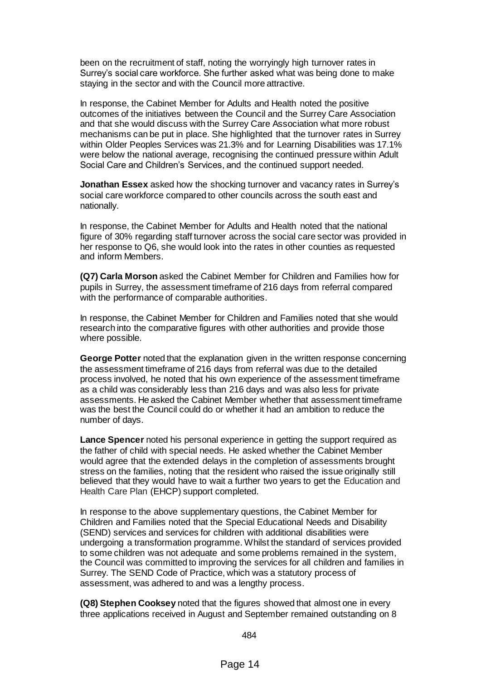been on the recruitment of staff, noting the worryingly high turnover rates in Surrey's social care workforce. She further asked what was being done to make staying in the sector and with the Council more attractive.

In response, the Cabinet Member for Adults and Health noted the positive outcomes of the initiatives between the Council and the Surrey Care Association and that she would discuss with the Surrey Care Association what more robust mechanisms can be put in place. She highlighted that the turnover rates in Surrey within Older Peoples Services was 21.3% and for Learning Disabilities was 17.1% were below the national average, recognising the continued pressure within Adult Social Care and Children's Services, and the continued support needed.

**Jonathan Essex** asked how the shocking turnover and vacancy rates in Surrey's social care workforce compared to other councils across the south east and nationally.

In response, the Cabinet Member for Adults and Health noted that the national figure of 30% regarding staff turnover across the social care sector was provided in her response to Q6, she would look into the rates in other counties as requested and inform Members.

**(Q7) Carla Morson** asked the Cabinet Member for Children and Families how for pupils in Surrey, the assessment timeframe of 216 days from referral compared with the performance of comparable authorities.

In response, the Cabinet Member for Children and Families noted that she would research into the comparative figures with other authorities and provide those where possible.

**George Potter** noted that the explanation given in the written response concerning the assessment timeframe of 216 days from referral was due to the detailed process involved, he noted that his own experience of the assessment timeframe as a child was considerably less than 216 days and was also less for private assessments. He asked the Cabinet Member whether that assessment timeframe was the best the Council could do or whether it had an ambition to reduce the number of days.

**Lance Spencer** noted his personal experience in getting the support required as the father of child with special needs. He asked whether the Cabinet Member would agree that the extended delays in the completion of assessments brought stress on the families, noting that the resident who raised the issue originally still believed that they would have to wait a further two years to get the Education and Health Care Plan (EHCP) support completed.

In response to the above supplementary questions, the Cabinet Member for Children and Families noted that the Special Educational Needs and Disability (SEND) services and services for children with additional disabilities were undergoing a transformation programme. Whilst the standard of services provided to some children was not adequate and some problems remained in the system, the Council was committed to improving the services for all children and families in Surrey. The SEND Code of Practice, which was a statutory process of assessment, was adhered to and was a lengthy process.

**(Q8) Stephen Cooksey** noted that the figures showed that almost one in every three applications received in August and September remained outstanding on 8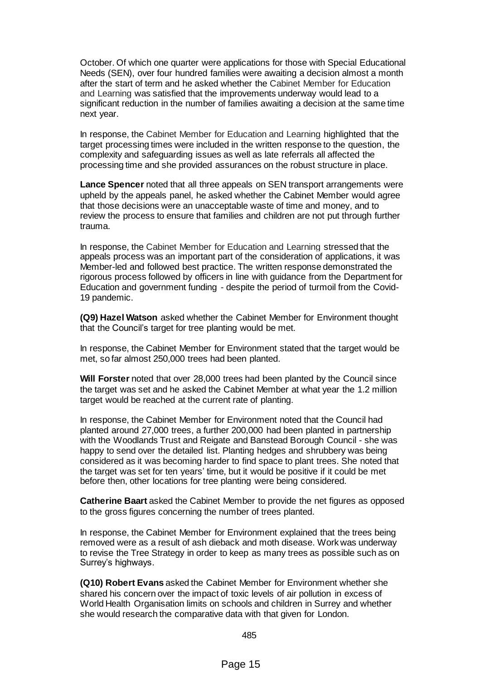October. Of which one quarter were applications for those with Special Educational Needs (SEN), over four hundred families were awaiting a decision almost a month after the start of term and he asked whether the Cabinet Member for Education and Learning was satisfied that the improvements underway would lead to a significant reduction in the number of families awaiting a decision at the same time next year.

In response, the Cabinet Member for Education and Learning highlighted that the target processing times were included in the written response to the question, the complexity and safeguarding issues as well as late referrals all affected the processing time and she provided assurances on the robust structure in place.

**Lance Spencer** noted that all three appeals on SEN transport arrangements were upheld by the appeals panel, he asked whether the Cabinet Member would agree that those decisions were an unacceptable waste of time and money, and to review the process to ensure that families and children are not put through further trauma.

In response, the Cabinet Member for Education and Learning stressed that the appeals process was an important part of the consideration of applications, it was Member-led and followed best practice. The written response demonstrated the rigorous process followed by officers in line with guidance from the Department for Education and government funding - despite the period of turmoil from the Covid-19 pandemic.

**(Q9) Hazel Watson** asked whether the Cabinet Member for Environment thought that the Council's target for tree planting would be met.

In response, the Cabinet Member for Environment stated that the target would be met, so far almost 250,000 trees had been planted.

**Will Forster** noted that over 28,000 trees had been planted by the Council since the target was set and he asked the Cabinet Member at what year the 1.2 million target would be reached at the current rate of planting.

In response, the Cabinet Member for Environment noted that the Council had planted around 27,000 trees, a further 200,000 had been planted in partnership with the Woodlands Trust and Reigate and Banstead Borough Council - she was happy to send over the detailed list. Planting hedges and shrubbery was being considered as it was becoming harder to find space to plant trees. She noted that the target was set for ten years' time, but it would be positive if it could be met before then, other locations for tree planting were being considered.

**Catherine Baart** asked the Cabinet Member to provide the net figures as opposed to the gross figures concerning the number of trees planted.

In response, the Cabinet Member for Environment explained that the trees being removed were as a result of ash dieback and moth disease. Work was underway to revise the Tree Strategy in order to keep as many trees as possible such as on Surrey's highways.

**(Q10) Robert Evans** asked the Cabinet Member for Environment whether she shared his concern over the impact of toxic levels of air pollution in excess of World Health Organisation limits on schools and children in Surrey and whether she would research the comparative data with that given for London.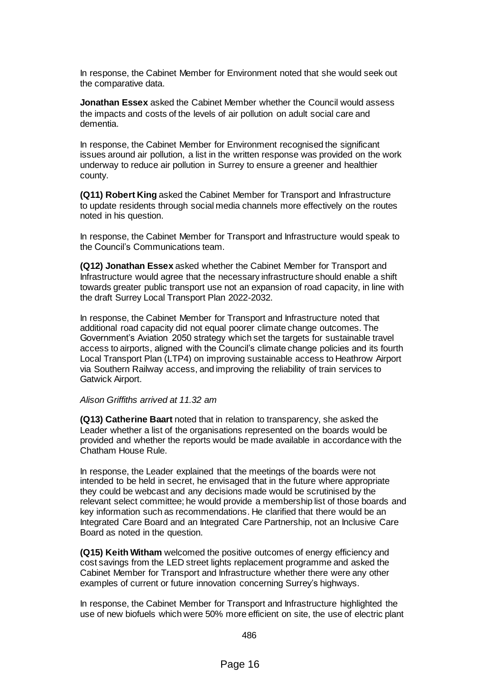In response, the Cabinet Member for Environment noted that she would seek out the comparative data.

**Jonathan Essex** asked the Cabinet Member whether the Council would assess the impacts and costs of the levels of air pollution on adult social care and dementia.

In response, the Cabinet Member for Environment recognised the significant issues around air pollution, a list in the written response was provided on the work underway to reduce air pollution in Surrey to ensure a greener and healthier county.

**(Q11) Robert King** asked the Cabinet Member for Transport and Infrastructure to update residents through social media channels more effectively on the routes noted in his question.

In response, the Cabinet Member for Transport and Infrastructure would speak to the Council's Communications team.

**(Q12) Jonathan Essex** asked whether the Cabinet Member for Transport and Infrastructure would agree that the necessary infrastructure should enable a shift towards greater public transport use not an expansion of road capacity, in line with the draft Surrey Local Transport Plan 2022-2032.

In response, the Cabinet Member for Transport and Infrastructure noted that additional road capacity did not equal poorer climate change outcomes. The Government's Aviation 2050 strategy which set the targets for sustainable travel access to airports, aligned with the Council's climate change policies and its fourth Local Transport Plan (LTP4) on improving sustainable access to Heathrow Airport via Southern Railway access, and improving the reliability of train services to Gatwick Airport.

#### *Alison Griffiths arrived at 11.32 am*

**(Q13) Catherine Baart** noted that in relation to transparency, she asked the Leader whether a list of the organisations represented on the boards would be provided and whether the reports would be made available in accordance with the Chatham House Rule.

In response, the Leader explained that the meetings of the boards were not intended to be held in secret, he envisaged that in the future where appropriate they could be webcast and any decisions made would be scrutinised by the relevant select committee; he would provide a membership list of those boards and key information such as recommendations. He clarified that there would be an Integrated Care Board and an Integrated Care Partnership, not an Inclusive Care Board as noted in the question.

**(Q15) Keith Witham** welcomed the positive outcomes of energy efficiency and cost savings from the LED street lights replacement programme and asked the Cabinet Member for Transport and Infrastructure whether there were any other examples of current or future innovation concerning Surrey's highways.

In response, the Cabinet Member for Transport and Infrastructure highlighted the use of new biofuels which were 50% more efficient on site, the use of electric plant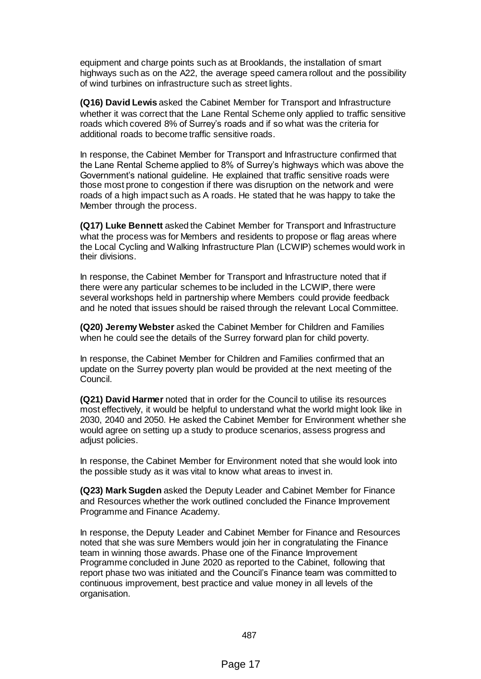equipment and charge points such as at Brooklands, the installation of smart highways such as on the A22, the average speed camera rollout and the possibility of wind turbines on infrastructure such as street lights.

**(Q16) David Lewis** asked the Cabinet Member for Transport and Infrastructure whether it was correct that the Lane Rental Scheme only applied to traffic sensitive roads which covered 8% of Surrey's roads and if so what was the criteria for additional roads to become traffic sensitive roads.

In response, the Cabinet Member for Transport and Infrastructure confirmed that the Lane Rental Scheme applied to 8% of Surrey's highways which was above the Government's national guideline. He explained that traffic sensitive roads were those most prone to congestion if there was disruption on the network and were roads of a high impact such as A roads. He stated that he was happy to take the Member through the process.

**(Q17) Luke Bennett** asked the Cabinet Member for Transport and Infrastructure what the process was for Members and residents to propose or flag areas where the Local Cycling and Walking Infrastructure Plan (LCWIP) schemes would work in their divisions.

In response, the Cabinet Member for Transport and Infrastructure noted that if there were any particular schemes to be included in the LCWIP, there were several workshops held in partnership where Members could provide feedback and he noted that issues should be raised through the relevant Local Committee.

**(Q20) Jeremy Webster** asked the Cabinet Member for Children and Families when he could see the details of the Surrey forward plan for child poverty.

In response, the Cabinet Member for Children and Families confirmed that an update on the Surrey poverty plan would be provided at the next meeting of the Council.

**(Q21) David Harmer** noted that in order for the Council to utilise its resources most effectively, it would be helpful to understand what the world might look like in 2030, 2040 and 2050. He asked the Cabinet Member for Environment whether she would agree on setting up a study to produce scenarios, assess progress and adjust policies.

In response, the Cabinet Member for Environment noted that she would look into the possible study as it was vital to know what areas to invest in.

**(Q23) Mark Sugden** asked the Deputy Leader and Cabinet Member for Finance and Resources whether the work outlined concluded the Finance Improvement Programme and Finance Academy.

In response, the Deputy Leader and Cabinet Member for Finance and Resources noted that she was sure Members would join her in congratulating the Finance team in winning those awards. Phase one of the Finance Improvement Programme concluded in June 2020 as reported to the Cabinet, following that report phase two was initiated and the Council's Finance team was committed to continuous improvement, best practice and value money in all levels of the organisation.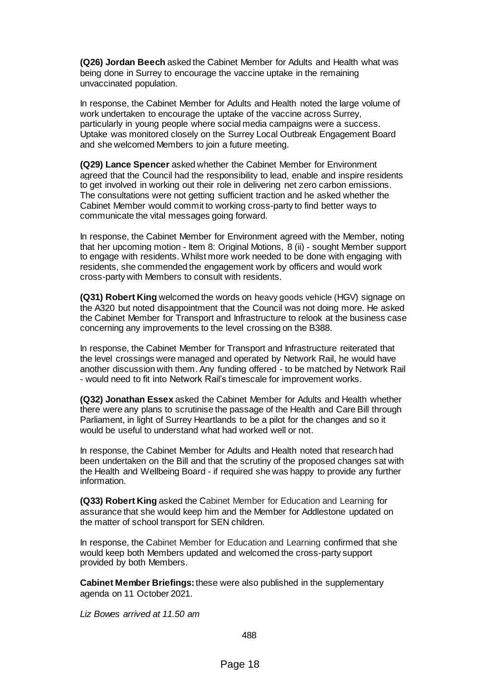**(Q26) Jordan Beech** asked the Cabinet Member for Adults and Health what was being done in Surrey to encourage the vaccine uptake in the remaining unvaccinated population.

In response, the Cabinet Member for Adults and Health noted the large volume of work undertaken to encourage the uptake of the vaccine across Surrey, particularly in young people where social media campaigns were a success. Uptake was monitored closely on the Surrey Local Outbreak Engagement Board and she welcomed Members to join a future meeting.

**(Q29) Lance Spencer** asked whether the Cabinet Member for Environment agreed that the Council had the responsibility to lead, enable and inspire residents to get involved in working out their role in delivering net zero carbon emissions. The consultations were not getting sufficient traction and he asked whether the Cabinet Member would commit to working cross-party to find better ways to communicate the vital messages going forward.

In response, the Cabinet Member for Environment agreed with the Member, noting that her upcoming motion - Item 8: Original Motions, 8 (ii) - sought Member support to engage with residents. Whilst more work needed to be done with engaging with residents, she commended the engagement work by officers and would work cross-party with Members to consult with residents.

**(Q31) Robert King** welcomed the words on heavy goods vehicle (HGV) signage on the A320 but noted disappointment that the Council was not doing more. He asked the Cabinet Member for Transport and Infrastructure to relook at the business case concerning any improvements to the level crossing on the B388.

In response, the Cabinet Member for Transport and Infrastructure reiterated that the level crossings were managed and operated by Network Rail, he would have another discussion with them. Any funding offered - to be matched by Network Rail - would need to fit into Network Rail's timescale for improvement works.

**(Q32) Jonathan Essex** asked the Cabinet Member for Adults and Health whether there were any plans to scrutinise the passage of the Health and Care Bill through Parliament, in light of Surrey Heartlands to be a pilot for the changes and so it would be useful to understand what had worked well or not.

In response, the Cabinet Member for Adults and Health noted that research had been undertaken on the Bill and that the scrutiny of the proposed changes sat with the Health and Wellbeing Board - if required she was happy to provide any further information.

**(Q33) Robert King** asked the Cabinet Member for Education and Learning for assurance that she would keep him and the Member for Addlestone updated on the matter of school transport for SEN children.

In response, the Cabinet Member for Education and Learning confirmed that she would keep both Members updated and welcomed the cross-party support provided by both Members.

**Cabinet Member Briefings:**these were also published in the supplementary agenda on 11 October 2021.

*Liz Bowes arrived at 11.50 am*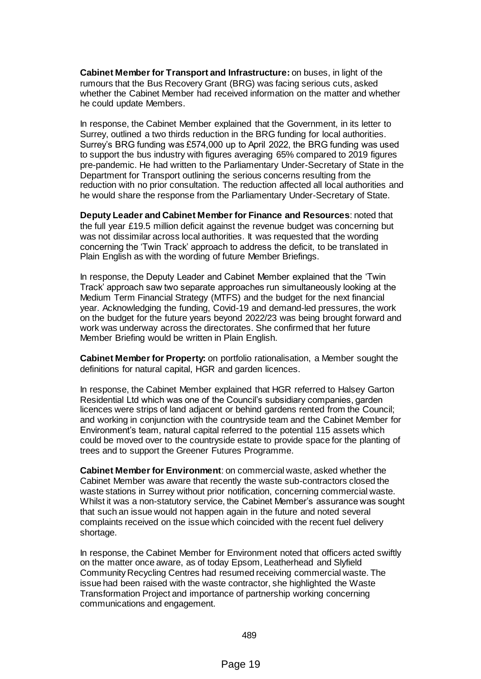**Cabinet Member for Transport and Infrastructure:** on buses, in light of the rumours that the Bus Recovery Grant (BRG) was facing serious cuts, asked whether the Cabinet Member had received information on the matter and whether he could update Members.

In response, the Cabinet Member explained that the Government, in its letter to Surrey, outlined a two thirds reduction in the BRG funding for local authorities. Surrey's BRG funding was £574,000 up to April 2022, the BRG funding was used to support the bus industry with figures averaging 65% compared to 2019 figures pre-pandemic. He had written to the Parliamentary Under-Secretary of State in the Department for Transport outlining the serious concerns resulting from the reduction with no prior consultation. The reduction affected all local authorities and he would share the response from the Parliamentary Under-Secretary of State.

**Deputy Leader and Cabinet Member for Finance and Resources**: noted that the full year £19.5 million deficit against the revenue budget was concerning but was not dissimilar across local authorities. It was requested that the wording concerning the 'Twin Track' approach to address the deficit, to be translated in Plain English as with the wording of future Member Briefings.

In response, the Deputy Leader and Cabinet Member explained that the 'Twin Track' approach saw two separate approaches run simultaneously looking at the Medium Term Financial Strategy (MTFS) and the budget for the next financial year. Acknowledging the funding, Covid-19 and demand-led pressures, the work on the budget for the future years beyond 2022/23 was being brought forward and work was underway across the directorates. She confirmed that her future Member Briefing would be written in Plain English.

**Cabinet Member for Property:** on portfolio rationalisation, a Member sought the definitions for natural capital, HGR and garden licences.

In response, the Cabinet Member explained that HGR referred to Halsey Garton Residential Ltd which was one of the Council's subsidiary companies, garden licences were strips of land adjacent or behind gardens rented from the Council; and working in conjunction with the countryside team and the Cabinet Member for Environment's team, natural capital referred to the potential 115 assets which could be moved over to the countryside estate to provide space for the planting of trees and to support the Greener Futures Programme.

**Cabinet Member for Environment**: on commercial waste, asked whether the Cabinet Member was aware that recently the waste sub-contractors closed the waste stations in Surrey without prior notification, concerning commercial waste. Whilst it was a non-statutory service, the Cabinet Member's assurance was sought that such an issue would not happen again in the future and noted several complaints received on the issue which coincided with the recent fuel delivery shortage.

In response, the Cabinet Member for Environment noted that officers acted swiftly on the matter once aware, as of today Epsom, Leatherhead and Slyfield Community Recycling Centres had resumed receiving commercial waste. The issue had been raised with the waste contractor, she highlighted the Waste Transformation Project and importance of partnership working concerning communications and engagement.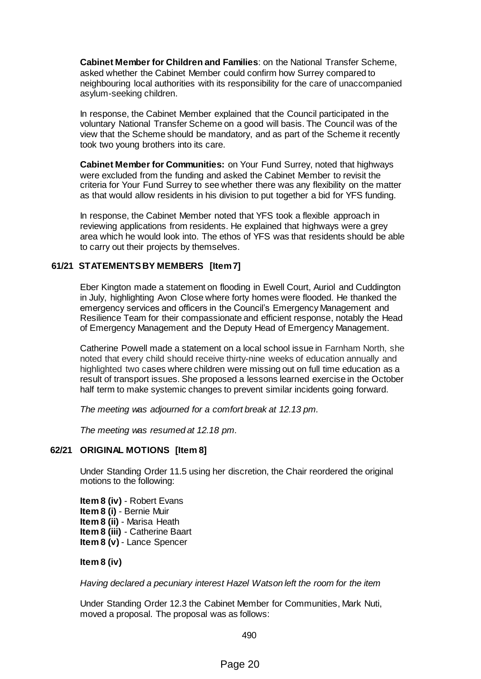**Cabinet Member for Children and Families**: on the National Transfer Scheme, asked whether the Cabinet Member could confirm how Surrey compared to neighbouring local authorities with its responsibility for the care of unaccompanied asylum-seeking children.

In response, the Cabinet Member explained that the Council participated in the voluntary National Transfer Scheme on a good will basis. The Council was of the view that the Scheme should be mandatory, and as part of the Scheme it recently took two young brothers into its care.

**Cabinet Member for Communities:** on Your Fund Surrey, noted that highways were excluded from the funding and asked the Cabinet Member to revisit the criteria for Your Fund Surrey to see whether there was any flexibility on the matter as that would allow residents in his division to put together a bid for YFS funding.

In response, the Cabinet Member noted that YFS took a flexible approach in reviewing applications from residents. He explained that highways were a grey area which he would look into. The ethos of YFS was that residents should be able to carry out their projects by themselves.

# **61/21 STATEMENTS BY MEMBERS [Item 7]**

Eber Kington made a statement on flooding in Ewell Court, Auriol and Cuddington in July, highlighting Avon Close where forty homes were flooded. He thanked the emergency services and officers in the Council's Emergency Management and Resilience Team for their compassionate and efficient response, notably the Head of Emergency Management and the Deputy Head of Emergency Management.

Catherine Powell made a statement on a local school issue in Farnham North, she noted that every child should receive thirty-nine weeks of education annually and highlighted two cases where children were missing out on full time education as a result of transport issues. She proposed a lessons learned exercise in the October half term to make systemic changes to prevent similar incidents going forward.

*The meeting was adjourned for a comfort break at 12.13 pm.*

*The meeting was resumed at 12.18 pm.*

## **62/21 ORIGINAL MOTIONS [Item 8]**

Under Standing Order 11.5 using her discretion, the Chair reordered the original motions to the following:

**Item 8 (iv)** - Robert Evans **Item 8 (i)** - Bernie Muir **Item 8 (ii)** - Marisa Heath **Item 8 (iii)** - Catherine Baart **Item 8 (v)** - Lance Spencer

## **Item 8 (iv)**

*Having declared a pecuniary interest Hazel Watson left the room for the item*

Under Standing Order 12.3 the Cabinet Member for Communities, Mark Nuti, moved a proposal. The proposal was as follows: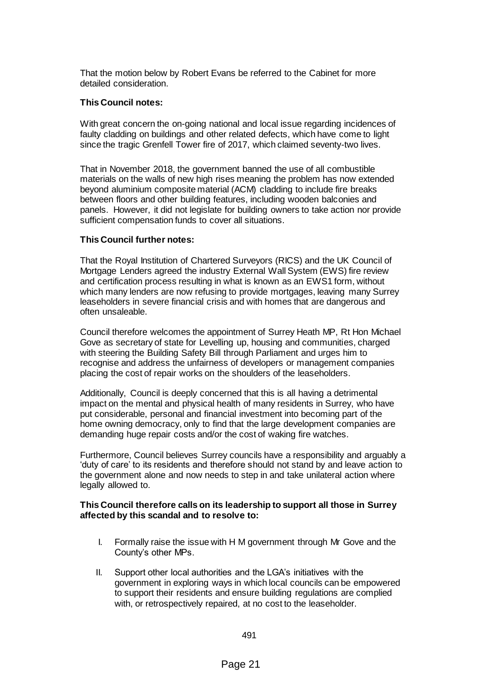That the motion below by Robert Evans be referred to the Cabinet for more detailed consideration.

## **This Council notes:**

With great concern the on-going national and local issue regarding incidences of faulty cladding on buildings and other related defects, which have come to light since the tragic Grenfell Tower fire of 2017, which claimed seventy-two lives.

That in November 2018, the government banned the use of all combustible materials on the walls of new high rises meaning the problem has now extended beyond aluminium composite material (ACM) cladding to include fire breaks between floors and other building features, including wooden balconies and panels. However, it did not legislate for building owners to take action nor provide sufficient compensation funds to cover all situations.

# **This Council further notes:**

That the Royal Institution of Chartered Surveyors (RICS) and the UK Council of Mortgage Lenders agreed the industry External Wall System (EWS) fire review and certification process resulting in what is known as an EWS1 form, without which many lenders are now refusing to provide mortgages, leaving many Surrey leaseholders in severe financial crisis and with homes that are dangerous and often unsaleable.

Council therefore welcomes the appointment of Surrey Heath MP, Rt Hon Michael Gove as secretary of state for Levelling up, housing and communities, charged with steering the Building Safety Bill through Parliament and urges him to recognise and address the unfairness of developers or management companies placing the cost of repair works on the shoulders of the leaseholders.

Additionally, Council is deeply concerned that this is all having a detrimental impact on the mental and physical health of many residents in Surrey, who have put considerable, personal and financial investment into becoming part of the home owning democracy, only to find that the large development companies are demanding huge repair costs and/or the cost of waking fire watches.

Furthermore, Council believes Surrey councils have a responsibility and arguably a 'duty of care' to its residents and therefore should not stand by and leave action to the government alone and now needs to step in and take unilateral action where legally allowed to.

### **This Council therefore calls on its leadership to support all those in Surrey affected by this scandal and to resolve to:**

- I. Formally raise the issue with H M government through Mr Gove and the County's other MPs.
- II. Support other local authorities and the LGA's initiatives with the government in exploring ways in which local councils can be empowered to support their residents and ensure building regulations are complied with, or retrospectively repaired, at no cost to the leaseholder.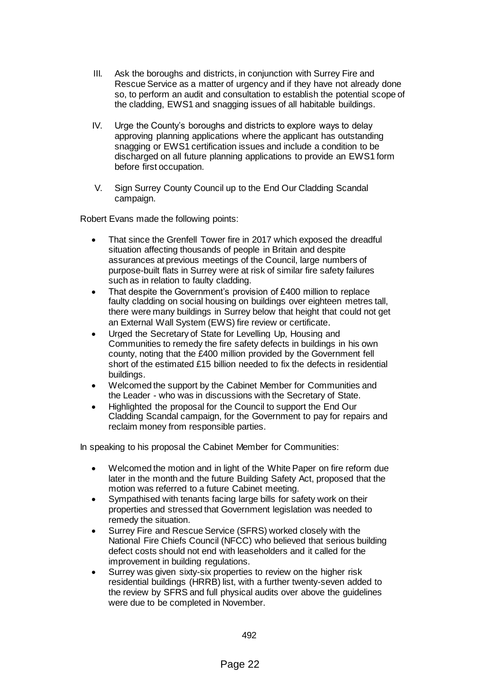- III. Ask the boroughs and districts, in conjunction with Surrey Fire and Rescue Service as a matter of urgency and if they have not already done so, to perform an audit and consultation to establish the potential scope of the cladding, EWS1 and snagging issues of all habitable buildings.
- IV. Urge the County's boroughs and districts to explore ways to delay approving planning applications where the applicant has outstanding snagging or EWS1 certification issues and include a condition to be discharged on all future planning applications to provide an EWS1 form before first occupation.
- V. Sign Surrey County Council up to the End Our Cladding Scandal campaign.

Robert Evans made the following points:

- That since the Grenfell Tower fire in 2017 which exposed the dreadful situation affecting thousands of people in Britain and despite assurances at previous meetings of the Council, large numbers of purpose-built flats in Surrey were at risk of similar fire safety failures such as in relation to faulty cladding.
- That despite the Government's provision of £400 million to replace faulty cladding on social housing on buildings over eighteen metres tall, there were many buildings in Surrey below that height that could not get an External Wall System (EWS) fire review or certificate.
- Urged the Secretary of State for Levelling Up, Housing and Communities to remedy the fire safety defects in buildings in his own county, noting that the £400 million provided by the Government fell short of the estimated £15 billion needed to fix the defects in residential buildings.
- Welcomed the support by the Cabinet Member for Communities and the Leader - who was in discussions with the Secretary of State.
- Highlighted the proposal for the Council to support the End Our Cladding Scandal campaign, for the Government to pay for repairs and reclaim money from responsible parties.

In speaking to his proposal the Cabinet Member for Communities:

- Welcomed the motion and in light of the White Paper on fire reform due later in the month and the future Building Safety Act, proposed that the motion was referred to a future Cabinet meeting.
- Sympathised with tenants facing large bills for safety work on their properties and stressed that Government legislation was needed to remedy the situation.
- Surrey Fire and Rescue Service (SFRS) worked closely with the National Fire Chiefs Council (NFCC) who believed that serious building defect costs should not end with leaseholders and it called for the improvement in building regulations.
- Surrey was given sixty-six properties to review on the higher risk residential buildings (HRRB) list, with a further twenty-seven added to the review by SFRS and full physical audits over above the guidelines were due to be completed in November.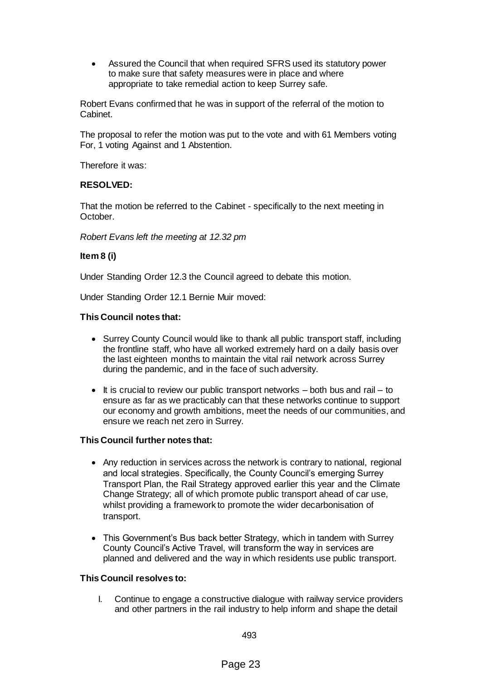Assured the Council that when required SFRS used its statutory power to make sure that safety measures were in place and where appropriate to take remedial action to keep Surrey safe.

Robert Evans confirmed that he was in support of the referral of the motion to Cabinet.

The proposal to refer the motion was put to the vote and with 61 Members voting For, 1 voting Against and 1 Abstention.

Therefore it was:

## **RESOLVED:**

That the motion be referred to the Cabinet - specifically to the next meeting in October.

*Robert Evans left the meeting at 12.32 pm*

### **Item 8 (i)**

Under Standing Order 12.3 the Council agreed to debate this motion.

Under Standing Order 12.1 Bernie Muir moved:

### **This Council notes that:**

- Surrey County Council would like to thank all public transport staff, including the frontline staff, who have all worked extremely hard on a daily basis over the last eighteen months to maintain the vital rail network across Surrey during the pandemic, and in the face of such adversity.
- $\bullet$  It is crucial to review our public transport networks both bus and rail to ensure as far as we practicably can that these networks continue to support our economy and growth ambitions, meet the needs of our communities, and ensure we reach net zero in Surrey.

## **This Council further notes that:**

- Any reduction in services across the network is contrary to national, regional and local strategies. Specifically, the County Council's emerging Surrey Transport Plan, the Rail Strategy approved earlier this year and the Climate Change Strategy; all of which promote public transport ahead of car use, whilst providing a framework to promote the wider decarbonisation of transport.
- This Government's Bus back better Strategy, which in tandem with Surrey County Council's Active Travel, will transform the way in services are planned and delivered and the way in which residents use public transport.

## **This Council resolves to:**

I. Continue to engage a constructive dialogue with railway service providers and other partners in the rail industry to help inform and shape the detail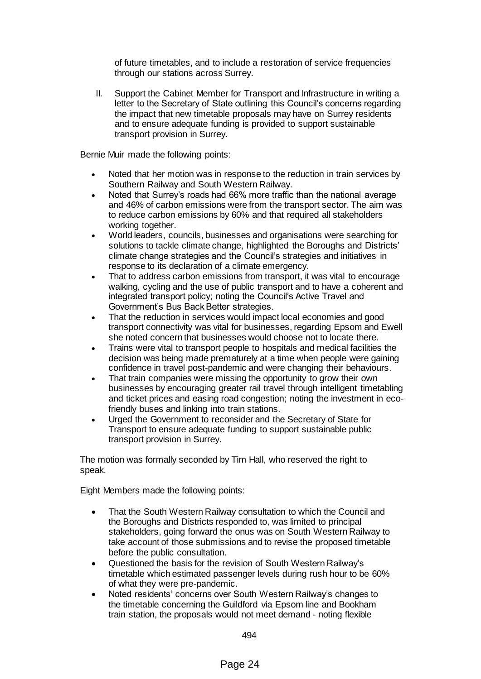of future timetables, and to include a restoration of service frequencies through our stations across Surrey.

II. Support the Cabinet Member for Transport and Infrastructure in writing a letter to the Secretary of State outlining this Council's concerns regarding the impact that new timetable proposals may have on Surrey residents and to ensure adequate funding is provided to support sustainable transport provision in Surrey.

Bernie Muir made the following points:

- Noted that her motion was in response to the reduction in train services by Southern Railway and South Western Railway.
- Noted that Surrey's roads had 66% more traffic than the national average and 46% of carbon emissions were from the transport sector. The aim was to reduce carbon emissions by 60% and that required all stakeholders working together.
- World leaders, councils, businesses and organisations were searching for solutions to tackle climate change, highlighted the Boroughs and Districts' climate change strategies and the Council's strategies and initiatives in response to its declaration of a climate emergency.
- That to address carbon emissions from transport, it was vital to encourage walking, cycling and the use of public transport and to have a coherent and integrated transport policy; noting the Council's Active Travel and Government's Bus Back Better strategies.
- That the reduction in services would impact local economies and good transport connectivity was vital for businesses, regarding Epsom and Ewell she noted concern that businesses would choose not to locate there.
- Trains were vital to transport people to hospitals and medical facilities the decision was being made prematurely at a time when people were gaining confidence in travel post-pandemic and were changing their behaviours.
- That train companies were missing the opportunity to grow their own businesses by encouraging greater rail travel through intelligent timetabling and ticket prices and easing road congestion; noting the investment in ecofriendly buses and linking into train stations.
- Urged the Government to reconsider and the Secretary of State for Transport to ensure adequate funding to support sustainable public transport provision in Surrey.

The motion was formally seconded by Tim Hall, who reserved the right to speak.

Eight Members made the following points:

- That the South Western Railway consultation to which the Council and the Boroughs and Districts responded to, was limited to principal stakeholders, going forward the onus was on South Western Railway to take account of those submissions and to revise the proposed timetable before the public consultation.
- Questioned the basis for the revision of South Western Railway's timetable which estimated passenger levels during rush hour to be 60% of what they were pre-pandemic.
- Noted residents' concerns over South Western Railway's changes to the timetable concerning the Guildford via Epsom line and Bookham train station, the proposals would not meet demand - noting flexible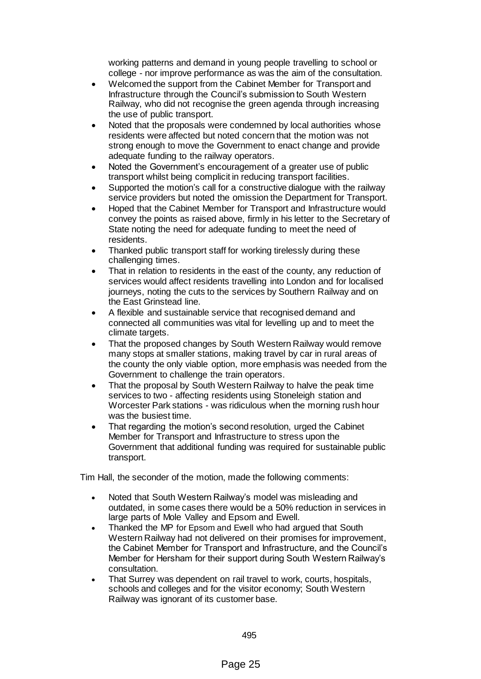working patterns and demand in young people travelling to school or college - nor improve performance as was the aim of the consultation.

- Welcomed the support from the Cabinet Member for Transport and Infrastructure through the Council's submission to South Western Railway, who did not recognise the green agenda through increasing the use of public transport.
- Noted that the proposals were condemned by local authorities whose residents were affected but noted concern that the motion was not strong enough to move the Government to enact change and provide adequate funding to the railway operators.
- Noted the Government's encouragement of a greater use of public transport whilst being complicit in reducing transport facilities.
- Supported the motion's call for a constructive dialogue with the railway service providers but noted the omission the Department for Transport.
- Hoped that the Cabinet Member for Transport and Infrastructure would convey the points as raised above, firmly in his letter to the Secretary of State noting the need for adequate funding to meet the need of residents.
- Thanked public transport staff for working tirelessly during these challenging times.
- That in relation to residents in the east of the county, any reduction of services would affect residents travelling into London and for localised journeys, noting the cuts to the services by Southern Railway and on the East Grinstead line.
- A flexible and sustainable service that recognised demand and connected all communities was vital for levelling up and to meet the climate targets.
- That the proposed changes by South Western Railway would remove many stops at smaller stations, making travel by car in rural areas of the county the only viable option, more emphasis was needed from the Government to challenge the train operators.
- That the proposal by South Western Railway to halve the peak time services to two - affecting residents using Stoneleigh station and Worcester Park stations - was ridiculous when the morning rush hour was the busiest time.
- That regarding the motion's second resolution, urged the Cabinet Member for Transport and Infrastructure to stress upon the Government that additional funding was required for sustainable public transport.

Tim Hall, the seconder of the motion, made the following comments:

- Noted that South Western Railway's model was misleading and outdated, in some cases there would be a 50% reduction in services in large parts of Mole Valley and Epsom and Ewell.
- Thanked the MP for Epsom and Ewell who had argued that South Western Railway had not delivered on their promises for improvement, the Cabinet Member for Transport and Infrastructure, and the Council's Member for Hersham for their support during South Western Railway's consultation.
- That Surrey was dependent on rail travel to work, courts, hospitals, schools and colleges and for the visitor economy; South Western Railway was ignorant of its customer base.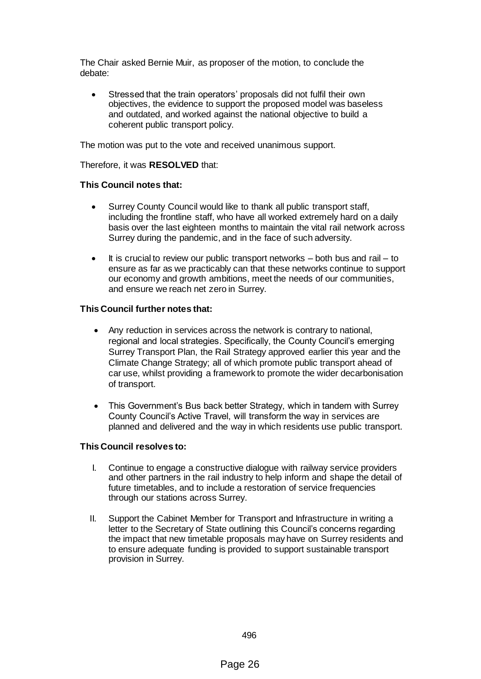The Chair asked Bernie Muir, as proposer of the motion, to conclude the debate:

 Stressed that the train operators' proposals did not fulfil their own objectives, the evidence to support the proposed model was baseless and outdated, and worked against the national objective to build a coherent public transport policy.

The motion was put to the vote and received unanimous support.

Therefore, it was **RESOLVED** that:

## **This Council notes that:**

- Surrey County Council would like to thank all public transport staff, including the frontline staff, who have all worked extremely hard on a daily basis over the last eighteen months to maintain the vital rail network across Surrey during the pandemic, and in the face of such adversity.
- $\bullet$  It is crucial to review our public transport networks  $-$  both bus and rail  $-$  to ensure as far as we practicably can that these networks continue to support our economy and growth ambitions, meet the needs of our communities, and ensure we reach net zero in Surrey.

### **This Council further notes that:**

- Any reduction in services across the network is contrary to national, regional and local strategies. Specifically, the County Council's emerging Surrey Transport Plan, the Rail Strategy approved earlier this year and the Climate Change Strategy; all of which promote public transport ahead of car use, whilst providing a framework to promote the wider decarbonisation of transport.
- This Government's Bus back better Strategy, which in tandem with Surrey County Council's Active Travel, will transform the way in services are planned and delivered and the way in which residents use public transport.

#### **This Council resolves to:**

- I. Continue to engage a constructive dialogue with railway service providers and other partners in the rail industry to help inform and shape the detail of future timetables, and to include a restoration of service frequencies through our stations across Surrey.
- II. Support the Cabinet Member for Transport and Infrastructure in writing a letter to the Secretary of State outlining this Council's concerns regarding the impact that new timetable proposals may have on Surrey residents and to ensure adequate funding is provided to support sustainable transport provision in Surrey.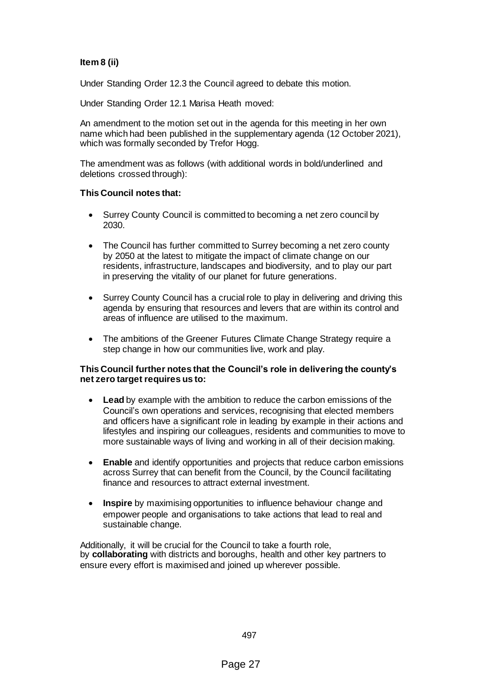# **Item 8 (ii)**

Under Standing Order 12.3 the Council agreed to debate this motion.

Under Standing Order 12.1 Marisa Heath moved:

An amendment to the motion set out in the agenda for this meeting in her own name which had been published in the supplementary agenda (12 October 2021), which was formally seconded by Trefor Hogg.

The amendment was as follows (with additional words in bold/underlined and deletions crossed through):

### **This Council notes that:**

- Surrey County Council is committed to becoming a net zero council by 2030.
- The Council has further committed to Surrey becoming a net zero county by 2050 at the latest to mitigate the impact of climate change on our residents, infrastructure, landscapes and biodiversity, and to play our part in preserving the vitality of our planet for future generations.
- Surrey County Council has a crucial role to play in delivering and driving this agenda by ensuring that resources and levers that are within its control and areas of influence are utilised to the maximum.
- The ambitions of the Greener Futures Climate Change Strategy require a step change in how our communities live, work and play.

### **This Council further notes that the Council's role in delivering the county's net zero target requires us to:**

- **Lead** by example with the ambition to reduce the carbon emissions of the Council's own operations and services, recognising that elected members and officers have a significant role in leading by example in their actions and lifestyles and inspiring our colleagues, residents and communities to move to more sustainable ways of living and working in all of their decision making.
- **Enable** and identify opportunities and projects that reduce carbon emissions across Surrey that can benefit from the Council, by the Council facilitating finance and resources to attract external investment.
- **Inspire** by maximising opportunities to influence behaviour change and empower people and organisations to take actions that lead to real and sustainable change.

Additionally, it will be crucial for the Council to take a fourth role, by **collaborating** with districts and boroughs, health and other key partners to ensure every effort is maximised and joined up wherever possible.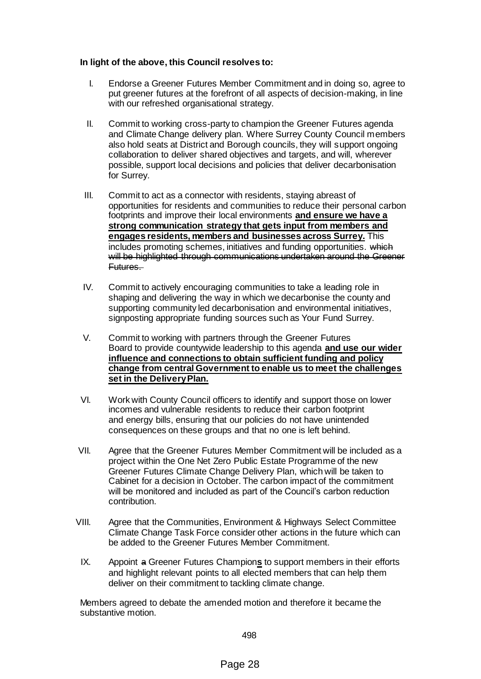## **In light of the above, this Council resolves to:**

- I. Endorse a Greener Futures Member Commitment and in doing so, agree to put greener futures at the forefront of all aspects of decision-making, in line with our refreshed organisational strategy.
- II. Commit to working cross-party to champion the Greener Futures agenda and Climate Change delivery plan. Where Surrey County Council members also hold seats at District and Borough councils, they will support ongoing collaboration to deliver shared objectives and targets, and will, wherever possible, support local decisions and policies that deliver decarbonisation for Surrey.
- III. Commit to act as a connector with residents, staying abreast of opportunities for residents and communities to reduce their personal carbon footprints and improve their local environments **and ensure we have a strong communication strategy that gets input from members and engages residents, members and businesses across Surrey.** This includes promoting schemes, initiatives and funding opportunities. which will be highlighted through communications undertaken around the Greener Futures.
- IV. Commit to actively encouraging communities to take a leading role in shaping and delivering the way in which we decarbonise the county and supporting community led decarbonisation and environmental initiatives, signposting appropriate funding sources such as Your Fund Surrey.
- V. Commit to working with partners through the Greener Futures Board to provide countywide leadership to this agenda **and use our wider influence and connections to obtain sufficient funding and policy change from central Government to enable us to meet the challenges set in the Delivery Plan.**
- VI. Work with County Council officers to identify and support those on lower incomes and vulnerable residents to reduce their carbon footprint and energy bills, ensuring that our policies do not have unintended consequences on these groups and that no one is left behind.
- VII. Agree that the Greener Futures Member Commitment will be included as a project within the One Net Zero Public Estate Programme of the new Greener Futures Climate Change Delivery Plan, which will be taken to Cabinet for a decision in October. The carbon impact of the commitment will be monitored and included as part of the Council's carbon reduction contribution.
- VIII. Agree that the Communities, Environment & Highways Select Committee Climate Change Task Force consider other actions in the future which can be added to the Greener Futures Member Commitment.
- IX. Appoint a Greener Futures Champion**s** to support members in their efforts and highlight relevant points to all elected members that can help them deliver on their commitment to tackling climate change.

Members agreed to debate the amended motion and therefore it became the substantive motion.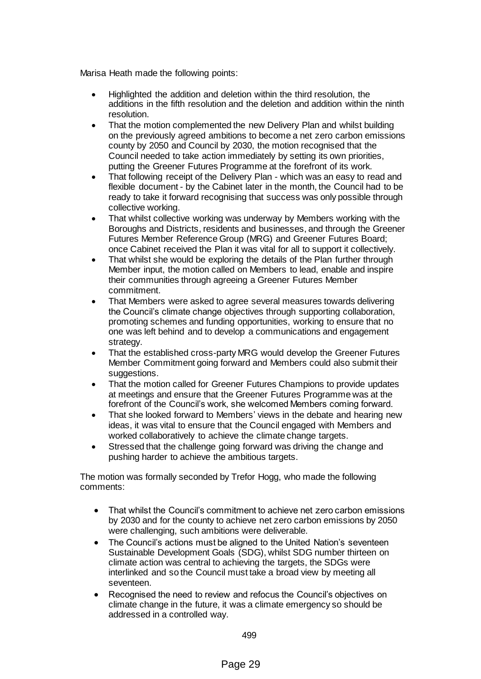Marisa Heath made the following points:

- Highlighted the addition and deletion within the third resolution, the additions in the fifth resolution and the deletion and addition within the ninth resolution.
- That the motion complemented the new Delivery Plan and whilst building on the previously agreed ambitions to become a net zero carbon emissions county by 2050 and Council by 2030, the motion recognised that the Council needed to take action immediately by setting its own priorities, putting the Greener Futures Programme at the forefront of its work.
- That following receipt of the Delivery Plan which was an easy to read and flexible document - by the Cabinet later in the month, the Council had to be ready to take it forward recognising that success was only possible through collective working.
- That whilst collective working was underway by Members working with the Boroughs and Districts, residents and businesses, and through the Greener Futures Member Reference Group (MRG) and Greener Futures Board; once Cabinet received the Plan it was vital for all to support it collectively.
- That whilst she would be exploring the details of the Plan further through Member input, the motion called on Members to lead, enable and inspire their communities through agreeing a Greener Futures Member commitment.
- That Members were asked to agree several measures towards delivering the Council's climate change objectives through supporting collaboration, promoting schemes and funding opportunities, working to ensure that no one was left behind and to develop a communications and engagement strategy.
- That the established cross-party MRG would develop the Greener Futures Member Commitment going forward and Members could also submit their suggestions.
- That the motion called for Greener Futures Champions to provide updates at meetings and ensure that the Greener Futures Programme was at the forefront of the Council's work, she welcomed Members coming forward.
- That she looked forward to Members' views in the debate and hearing new ideas, it was vital to ensure that the Council engaged with Members and worked collaboratively to achieve the climate change targets.
- Stressed that the challenge going forward was driving the change and pushing harder to achieve the ambitious targets.

The motion was formally seconded by Trefor Hogg, who made the following comments:

- That whilst the Council's commitment to achieve net zero carbon emissions by 2030 and for the county to achieve net zero carbon emissions by 2050 were challenging, such ambitions were deliverable.
- The Council's actions must be aligned to the United Nation's seventeen Sustainable Development Goals (SDG), whilst SDG number thirteen on climate action was central to achieving the targets, the SDGs were interlinked and so the Council must take a broad view by meeting all seventeen.
- Recognised the need to review and refocus the Council's objectives on climate change in the future, it was a climate emergency so should be addressed in a controlled way.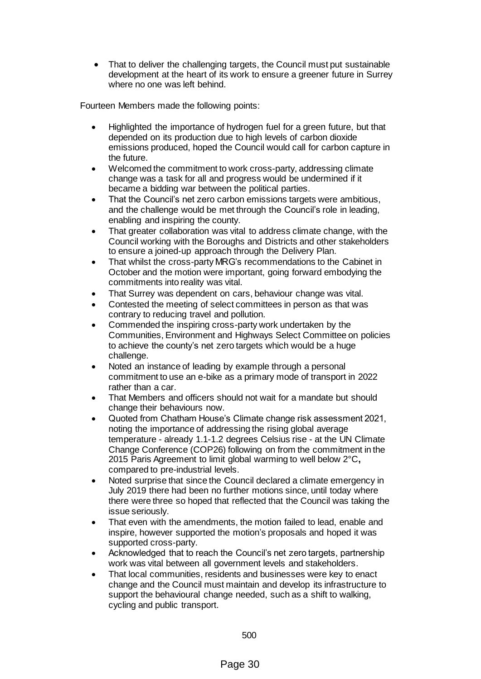That to deliver the challenging targets, the Council must put sustainable development at the heart of its work to ensure a greener future in Surrey where no one was left behind.

Fourteen Members made the following points:

- Highlighted the importance of hydrogen fuel for a green future, but that depended on its production due to high levels of carbon dioxide emissions produced, hoped the Council would call for carbon capture in the future.
- Welcomed the commitment to work cross-party, addressing climate change was a task for all and progress would be undermined if it became a bidding war between the political parties.
- That the Council's net zero carbon emissions targets were ambitious, and the challenge would be met through the Council's role in leading, enabling and inspiring the county.
- That greater collaboration was vital to address climate change, with the Council working with the Boroughs and Districts and other stakeholders to ensure a joined-up approach through the Delivery Plan.
- That whilst the cross-party MRG's recommendations to the Cabinet in October and the motion were important, going forward embodying the commitments into reality was vital.
- That Surrey was dependent on cars, behaviour change was vital.
- Contested the meeting of select committees in person as that was contrary to reducing travel and pollution.
- Commended the inspiring cross-party work undertaken by the Communities, Environment and Highways Select Committee on policies to achieve the county's net zero targets which would be a huge challenge.
- Noted an instance of leading by example through a personal commitment to use an e-bike as a primary mode of transport in 2022 rather than a car.
- That Members and officers should not wait for a mandate but should change their behaviours now.
- Quoted from Chatham House's Climate change risk assessment 2021, noting the importance of addressing the rising global average temperature - already 1.1-1.2 degrees Celsius rise - at the UN Climate Change Conference (COP26) following on from the commitment in the 2015 Paris Agreement to limit global warming to well below 2°C**,** compared to pre-industrial levels.
- Noted surprise that since the Council declared a climate emergency in July 2019 there had been no further motions since, until today where there were three so hoped that reflected that the Council was taking the issue seriously.
- That even with the amendments, the motion failed to lead, enable and inspire, however supported the motion's proposals and hoped it was supported cross-party.
- Acknowledged that to reach the Council's net zero targets, partnership work was vital between all government levels and stakeholders.
- That local communities, residents and businesses were key to enact change and the Council must maintain and develop its infrastructure to support the behavioural change needed, such as a shift to walking, cycling and public transport.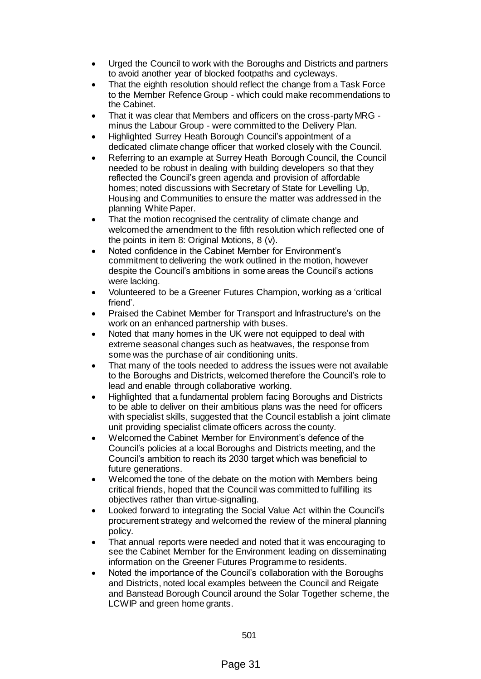- Urged the Council to work with the Boroughs and Districts and partners to avoid another year of blocked footpaths and cycleways.
- That the eighth resolution should reflect the change from a Task Force to the Member Refence Group - which could make recommendations to the Cabinet.
- That it was clear that Members and officers on the cross-party MRG minus the Labour Group - were committed to the Delivery Plan.
- Highlighted Surrey Heath Borough Council's appointment of a dedicated climate change officer that worked closely with the Council.
- Referring to an example at Surrey Heath Borough Council, the Council needed to be robust in dealing with building developers so that they reflected the Council's green agenda and provision of affordable homes; noted discussions with Secretary of State for Levelling Up, Housing and Communities to ensure the matter was addressed in the planning White Paper.
- That the motion recognised the centrality of climate change and welcomed the amendment to the fifth resolution which reflected one of the points in item 8: Original Motions, 8 (v).
- Noted confidence in the Cabinet Member for Environment's commitment to delivering the work outlined in the motion, however despite the Council's ambitions in some areas the Council's actions were lacking.
- Volunteered to be a Greener Futures Champion, working as a 'critical friend'.
- Praised the Cabinet Member for Transport and Infrastructure's on the work on an enhanced partnership with buses.
- Noted that many homes in the UK were not equipped to deal with extreme seasonal changes such as heatwaves, the response from some was the purchase of air conditioning units.
- That many of the tools needed to address the issues were not available to the Boroughs and Districts, welcomed therefore the Council's role to lead and enable through collaborative working.
- Highlighted that a fundamental problem facing Boroughs and Districts to be able to deliver on their ambitious plans was the need for officers with specialist skills, suggested that the Council establish a joint climate unit providing specialist climate officers across the county.
- Welcomed the Cabinet Member for Environment's defence of the Council's policies at a local Boroughs and Districts meeting, and the Council's ambition to reach its 2030 target which was beneficial to future generations.
- Welcomed the tone of the debate on the motion with Members being critical friends, hoped that the Council was committed to fulfilling its objectives rather than virtue-signalling.
- Looked forward to integrating the Social Value Act within the Council's procurement strategy and welcomed the review of the mineral planning policy.
- That annual reports were needed and noted that it was encouraging to see the Cabinet Member for the Environment leading on disseminating information on the Greener Futures Programme to residents.
- Noted the importance of the Council's collaboration with the Boroughs and Districts, noted local examples between the Council and Reigate and Banstead Borough Council around the Solar Together scheme, the LCWIP and green home grants.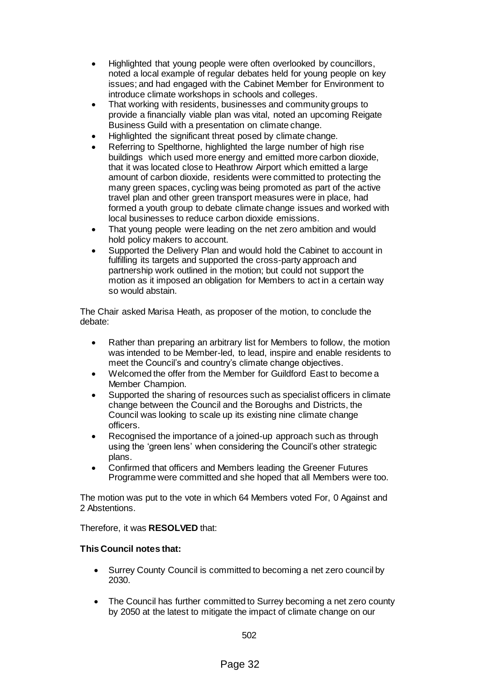- Highlighted that young people were often overlooked by councillors, noted a local example of regular debates held for young people on key issues; and had engaged with the Cabinet Member for Environment to introduce climate workshops in schools and colleges.
- That working with residents, businesses and community groups to provide a financially viable plan was vital, noted an upcoming Reigate Business Guild with a presentation on climate change.
- Highlighted the significant threat posed by climate change.
- Referring to Spelthorne, highlighted the large number of high rise buildings which used more energy and emitted more carbon dioxide, that it was located close to Heathrow Airport which emitted a large amount of carbon dioxide, residents were committed to protecting the many green spaces, cycling was being promoted as part of the active travel plan and other green transport measures were in place, had formed a youth group to debate climate change issues and worked with local businesses to reduce carbon dioxide emissions.
- That young people were leading on the net zero ambition and would hold policy makers to account.
- Supported the Delivery Plan and would hold the Cabinet to account in fulfilling its targets and supported the cross-party approach and partnership work outlined in the motion; but could not support the motion as it imposed an obligation for Members to act in a certain way so would abstain.

The Chair asked Marisa Heath, as proposer of the motion, to conclude the debate:

- Rather than preparing an arbitrary list for Members to follow, the motion was intended to be Member-led, to lead, inspire and enable residents to meet the Council's and country's climate change objectives.
- Welcomed the offer from the Member for Guildford East to become a Member Champion.
- Supported the sharing of resources such as specialist officers in climate change between the Council and the Boroughs and Districts, the Council was looking to scale up its existing nine climate change officers.
- Recognised the importance of a joined-up approach such as through using the 'green lens' when considering the Council's other strategic plans.
- Confirmed that officers and Members leading the Greener Futures Programme were committed and she hoped that all Members were too.

The motion was put to the vote in which 64 Members voted For, 0 Against and 2 Abstentions.

Therefore, it was **RESOLVED** that:

## **This Council notes that:**

- Surrey County Council is committed to becoming a net zero council by 2030.
- The Council has further committed to Surrey becoming a net zero county by 2050 at the latest to mitigate the impact of climate change on our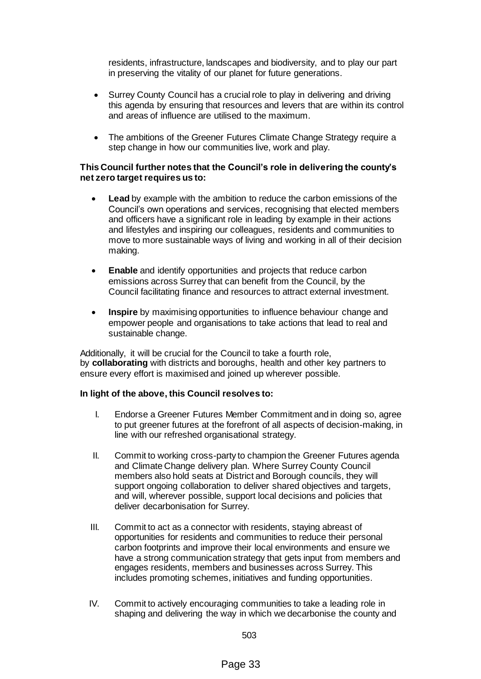residents, infrastructure, landscapes and biodiversity, and to play our part in preserving the vitality of our planet for future generations.

- Surrey County Council has a crucial role to play in delivering and driving this agenda by ensuring that resources and levers that are within its control and areas of influence are utilised to the maximum.
- The ambitions of the Greener Futures Climate Change Strategy require a step change in how our communities live, work and play.

### **This Council further notes that the Council's role in delivering the county's net zero target requires us to:**

- **Lead** by example with the ambition to reduce the carbon emissions of the Council's own operations and services, recognising that elected members and officers have a significant role in leading by example in their actions and lifestyles and inspiring our colleagues, residents and communities to move to more sustainable ways of living and working in all of their decision making.
- **Enable** and identify opportunities and projects that reduce carbon emissions across Surrey that can benefit from the Council, by the Council facilitating finance and resources to attract external investment.
- **Inspire** by maximising opportunities to influence behaviour change and empower people and organisations to take actions that lead to real and sustainable change.

Additionally, it will be crucial for the Council to take a fourth role, by **collaborating** with districts and boroughs, health and other key partners to ensure every effort is maximised and joined up wherever possible.

## **In light of the above, this Council resolves to:**

- I. Endorse a Greener Futures Member Commitment and in doing so, agree to put greener futures at the forefront of all aspects of decision-making, in line with our refreshed organisational strategy.
- II. Commit to working cross-party to champion the Greener Futures agenda and Climate Change delivery plan. Where Surrey County Council members also hold seats at District and Borough councils, they will support ongoing collaboration to deliver shared objectives and targets, and will, wherever possible, support local decisions and policies that deliver decarbonisation for Surrey.
- III. Commit to act as a connector with residents, staying abreast of opportunities for residents and communities to reduce their personal carbon footprints and improve their local environments and ensure we have a strong communication strategy that gets input from members and engages residents, members and businesses across Surrey. This includes promoting schemes, initiatives and funding opportunities.
- IV. Commit to actively encouraging communities to take a leading role in shaping and delivering the way in which we decarbonise the county and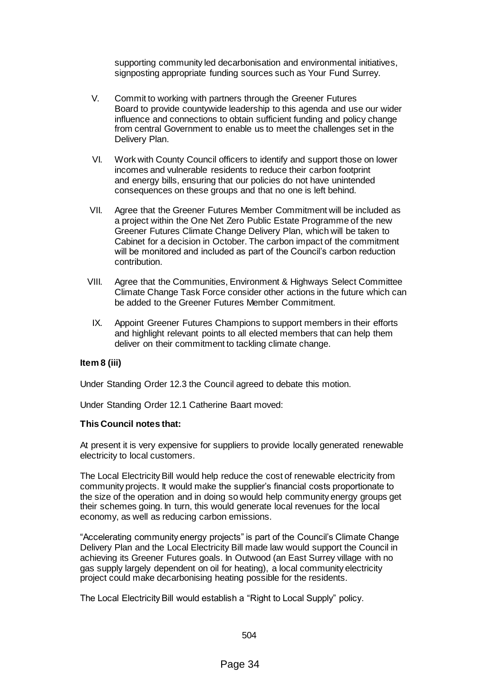supporting community led decarbonisation and environmental initiatives, signposting appropriate funding sources such as Your Fund Surrey.

- V. Commit to working with partners through the Greener Futures Board to provide countywide leadership to this agenda and use our wider influence and connections to obtain sufficient funding and policy change from central Government to enable us to meet the challenges set in the Delivery Plan.
- VI. Work with County Council officers to identify and support those on lower incomes and vulnerable residents to reduce their carbon footprint and energy bills, ensuring that our policies do not have unintended consequences on these groups and that no one is left behind.
- VII. Agree that the Greener Futures Member Commitment will be included as a project within the One Net Zero Public Estate Programme of the new Greener Futures Climate Change Delivery Plan, which will be taken to Cabinet for a decision in October. The carbon impact of the commitment will be monitored and included as part of the Council's carbon reduction contribution.
- VIII. Agree that the Communities, Environment & Highways Select Committee Climate Change Task Force consider other actions in the future which can be added to the Greener Futures Member Commitment.
	- IX. Appoint Greener Futures Champions to support members in their efforts and highlight relevant points to all elected members that can help them deliver on their commitment to tackling climate change.

#### **Item 8 (iii)**

Under Standing Order 12.3 the Council agreed to debate this motion.

Under Standing Order 12.1 Catherine Baart moved:

#### **This Council notes that:**

At present it is very expensive for suppliers to provide locally generated renewable electricity to local customers.

The Local Electricity Bill would help reduce the cost of renewable electricity from community projects. It would make the supplier's financial costs proportionate to the size of the operation and in doing so would help community energy groups get their schemes going. In turn, this would generate local revenues for the local economy, as well as reducing carbon emissions.

"Accelerating community energy projects" is part of the Council's Climate Change Delivery Plan and the Local Electricity Bill made law would support the Council in achieving its Greener Futures goals. In Outwood (an East Surrey village with no gas supply largely dependent on oil for heating), a local community electricity project could make decarbonising heating possible for the residents.

The Local Electricity Bill would establish a "Right to Local Supply" policy.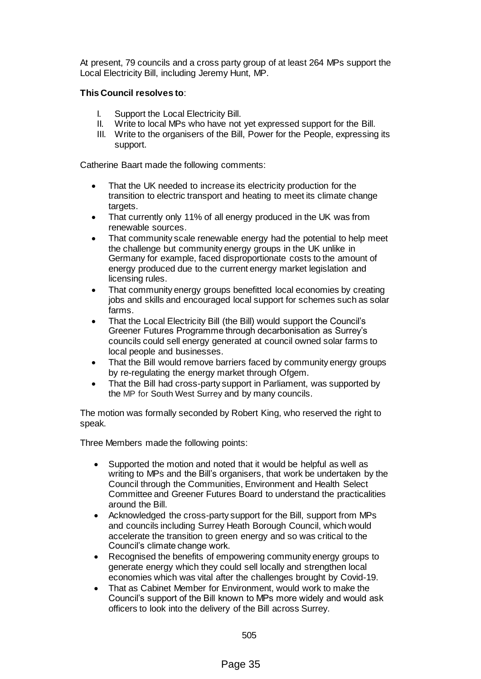At present, 79 councils and a cross party group of at least 264 MPs support the Local Electricity Bill, including Jeremy Hunt, MP.

## **This Council resolves to**:

- I. Support the Local Electricity Bill.
- II. Write to local MPs who have not yet expressed support for the Bill.
- III. Write to the organisers of the Bill, Power for the People, expressing its support.

Catherine Baart made the following comments:

- That the UK needed to increase its electricity production for the transition to electric transport and heating to meet its climate change targets.
- That currently only 11% of all energy produced in the UK was from renewable sources.
- That community scale renewable energy had the potential to help meet the challenge but community energy groups in the UK unlike in Germany for example, faced disproportionate costs to the amount of energy produced due to the current energy market legislation and licensing rules.
- That community energy groups benefitted local economies by creating jobs and skills and encouraged local support for schemes such as solar farms.
- That the Local Electricity Bill (the Bill) would support the Council's Greener Futures Programme through decarbonisation as Surrey's councils could sell energy generated at council owned solar farms to local people and businesses.
- That the Bill would remove barriers faced by community energy groups by re-regulating the energy market through Ofgem.
- That the Bill had cross-party support in Parliament, was supported by the MP for South West Surrey and by many councils.

The motion was formally seconded by Robert King, who reserved the right to speak.

Three Members made the following points:

- Supported the motion and noted that it would be helpful as well as writing to MPs and the Bill's organisers, that work be undertaken by the Council through the Communities, Environment and Health Select Committee and Greener Futures Board to understand the practicalities around the Bill.
- Acknowledged the cross-party support for the Bill, support from MPs and councils including Surrey Heath Borough Council, which would accelerate the transition to green energy and so was critical to the Council's climate change work.
- Recognised the benefits of empowering community energy groups to generate energy which they could sell locally and strengthen local economies which was vital after the challenges brought by Covid-19.
- That as Cabinet Member for Environment, would work to make the Council's support of the Bill known to MPs more widely and would ask officers to look into the delivery of the Bill across Surrey.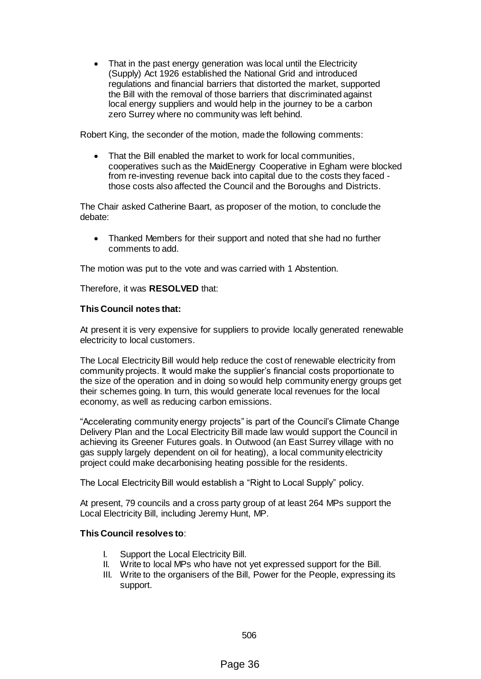That in the past energy generation was local until the Electricity (Supply) Act 1926 established the National Grid and introduced regulations and financial barriers that distorted the market, supported the Bill with the removal of those barriers that discriminated against local energy suppliers and would help in the journey to be a carbon zero Surrey where no community was left behind.

Robert King, the seconder of the motion, made the following comments:

 That the Bill enabled the market to work for local communities, cooperatives such as the MaidEnergy Cooperative in Egham were blocked from re-investing revenue back into capital due to the costs they faced those costs also affected the Council and the Boroughs and Districts.

The Chair asked Catherine Baart, as proposer of the motion, to conclude the debate:

 Thanked Members for their support and noted that she had no further comments to add.

The motion was put to the vote and was carried with 1 Abstention.

Therefore, it was **RESOLVED** that:

### **This Council notes that:**

At present it is very expensive for suppliers to provide locally generated renewable electricity to local customers.

The Local Electricity Bill would help reduce the cost of renewable electricity from community projects. It would make the supplier's financial costs proportionate to the size of the operation and in doing so would help community energy groups get their schemes going. In turn, this would generate local revenues for the local economy, as well as reducing carbon emissions.

"Accelerating community energy projects" is part of the Council's Climate Change Delivery Plan and the Local Electricity Bill made law would support the Council in achieving its Greener Futures goals. In Outwood (an East Surrey village with no gas supply largely dependent on oil for heating), a local community electricity project could make decarbonising heating possible for the residents.

The Local Electricity Bill would establish a "Right to Local Supply" policy.

At present, 79 councils and a cross party group of at least 264 MPs support the Local Electricity Bill, including Jeremy Hunt, MP.

#### **This Council resolves to**:

- I. Support the Local Electricity Bill.
- II. Write to local MPs who have not yet expressed support for the Bill.
- III. Write to the organisers of the Bill, Power for the People, expressing its support.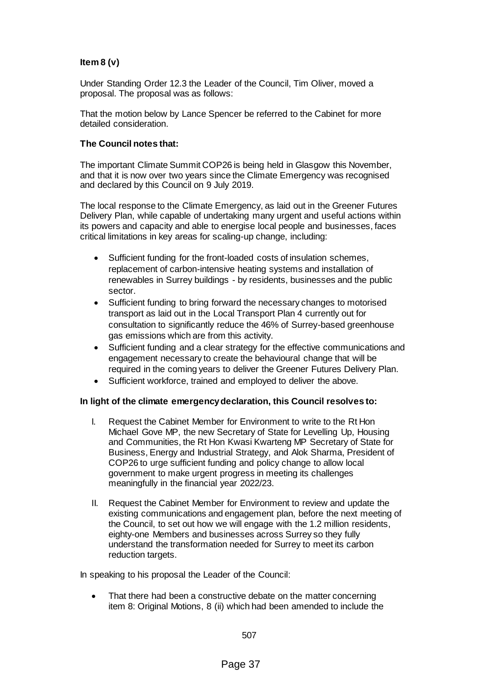# **Item 8 (v)**

Under Standing Order 12.3 the Leader of the Council, Tim Oliver, moved a proposal. The proposal was as follows:

That the motion below by Lance Spencer be referred to the Cabinet for more detailed consideration.

## **The Council notes that:**

The important Climate Summit COP26 is being held in Glasgow this November, and that it is now over two years since the Climate Emergency was recognised and declared by this Council on 9 July 2019.

The local response to the Climate Emergency, as laid out in the Greener Futures Delivery Plan, while capable of undertaking many urgent and useful actions within its powers and capacity and able to energise local people and businesses, faces critical limitations in key areas for scaling-up change, including:

- Sufficient funding for the front-loaded costs of insulation schemes, replacement of carbon-intensive heating systems and installation of renewables in Surrey buildings - by residents, businesses and the public sector.
- Sufficient funding to bring forward the necessary changes to motorised transport as laid out in the Local Transport Plan 4 currently out for consultation to significantly reduce the 46% of Surrey-based greenhouse gas emissions which are from this activity.
- Sufficient funding and a clear strategy for the effective communications and engagement necessary to create the behavioural change that will be required in the coming years to deliver the Greener Futures Delivery Plan.
- Sufficient workforce, trained and employed to deliver the above.

#### **In light of the climate emergency declaration, this Council resolves to:**

- I. Request the Cabinet Member for Environment to write to the Rt Hon Michael Gove MP, the new Secretary of State for Levelling Up, Housing and Communities, the Rt Hon Kwasi Kwarteng MP Secretary of State for Business, Energy and Industrial Strategy, and Alok Sharma, President of COP26 to urge sufficient funding and policy change to allow local government to make urgent progress in meeting its challenges meaningfully in the financial year 2022/23.
- II. Request the Cabinet Member for Environment to review and update the existing communications and engagement plan, before the next meeting of the Council, to set out how we will engage with the 1.2 million residents, eighty-one Members and businesses across Surrey so they fully understand the transformation needed for Surrey to meet its carbon reduction targets.

In speaking to his proposal the Leader of the Council:

 That there had been a constructive debate on the matter concerning item 8: Original Motions, 8 (ii) which had been amended to include the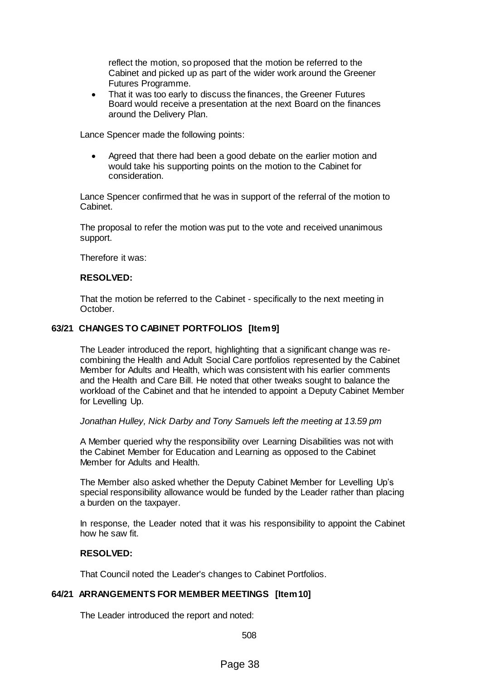reflect the motion, so proposed that the motion be referred to the Cabinet and picked up as part of the wider work around the Greener Futures Programme.

• That it was too early to discuss the finances, the Greener Futures Board would receive a presentation at the next Board on the finances around the Delivery Plan.

Lance Spencer made the following points:

 Agreed that there had been a good debate on the earlier motion and would take his supporting points on the motion to the Cabinet for consideration.

Lance Spencer confirmed that he was in support of the referral of the motion to Cabinet.

The proposal to refer the motion was put to the vote and received unanimous support.

Therefore it was:

### **RESOLVED:**

That the motion be referred to the Cabinet - specifically to the next meeting in October.

# **63/21 CHANGES TO CABINET PORTFOLIOS [Item 9]**

The Leader introduced the report, highlighting that a significant change was recombining the Health and Adult Social Care portfolios represented by the Cabinet Member for Adults and Health, which was consistent with his earlier comments and the Health and Care Bill. He noted that other tweaks sought to balance the workload of the Cabinet and that he intended to appoint a Deputy Cabinet Member for Levelling Up.

#### *Jonathan Hulley, Nick Darby and Tony Samuels left the meeting at 13.59 pm*

A Member queried why the responsibility over Learning Disabilities was not with the Cabinet Member for Education and Learning as opposed to the Cabinet Member for Adults and Health.

The Member also asked whether the Deputy Cabinet Member for Levelling Up's special responsibility allowance would be funded by the Leader rather than placing a burden on the taxpayer.

In response, the Leader noted that it was his responsibility to appoint the Cabinet how he saw fit.

## **RESOLVED:**

That Council noted the Leader's changes to Cabinet Portfolios.

## **64/21 ARRANGEMENTS FOR MEMBER MEETINGS [Item 10]**

The Leader introduced the report and noted: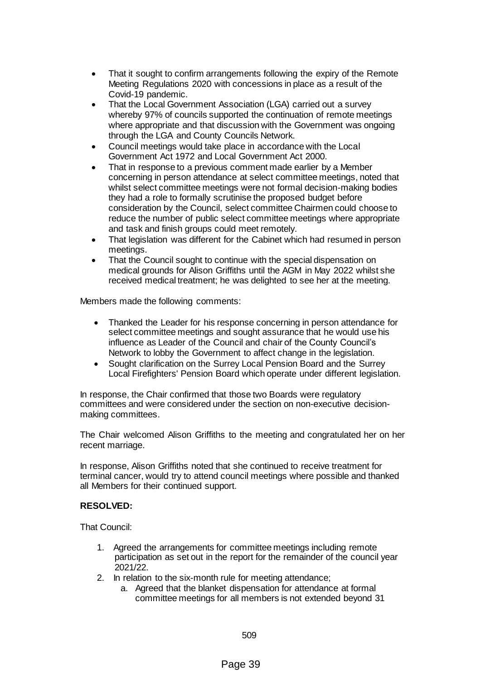- That it sought to confirm arrangements following the expiry of the Remote Meeting Regulations 2020 with concessions in place as a result of the Covid-19 pandemic.
- That the Local Government Association (LGA) carried out a survey whereby 97% of councils supported the continuation of remote meetings where appropriate and that discussion with the Government was ongoing through the LGA and County Councils Network.
- Council meetings would take place in accordance with the Local Government Act 1972 and Local Government Act 2000.
- That in response to a previous comment made earlier by a Member concerning in person attendance at select committee meetings, noted that whilst select committee meetings were not formal decision-making bodies they had a role to formally scrutinise the proposed budget before consideration by the Council, select committee Chairmen could choose to reduce the number of public select committee meetings where appropriate and task and finish groups could meet remotely.
- That legislation was different for the Cabinet which had resumed in person meetings.
- That the Council sought to continue with the special dispensation on medical grounds for Alison Griffiths until the AGM in May 2022 whilst she received medical treatment; he was delighted to see her at the meeting.

Members made the following comments:

- Thanked the Leader for his response concerning in person attendance for select committee meetings and sought assurance that he would use his influence as Leader of the Council and chair of the County Council's Network to lobby the Government to affect change in the legislation.
- Sought clarification on the Surrey Local Pension Board and the Surrey Local Firefighters' Pension Board which operate under different legislation.

In response, the Chair confirmed that those two Boards were regulatory committees and were considered under the section on non-executive decisionmaking committees.

The Chair welcomed Alison Griffiths to the meeting and congratulated her on her recent marriage.

In response, Alison Griffiths noted that she continued to receive treatment for terminal cancer, would try to attend council meetings where possible and thanked all Members for their continued support.

## **RESOLVED:**

That Council:

- 1. Agreed the arrangements for committee meetings including remote participation as set out in the report for the remainder of the council year 2021/22.
- 2. In relation to the six-month rule for meeting attendance;
	- a. Agreed that the blanket dispensation for attendance at formal committee meetings for all members is not extended beyond 31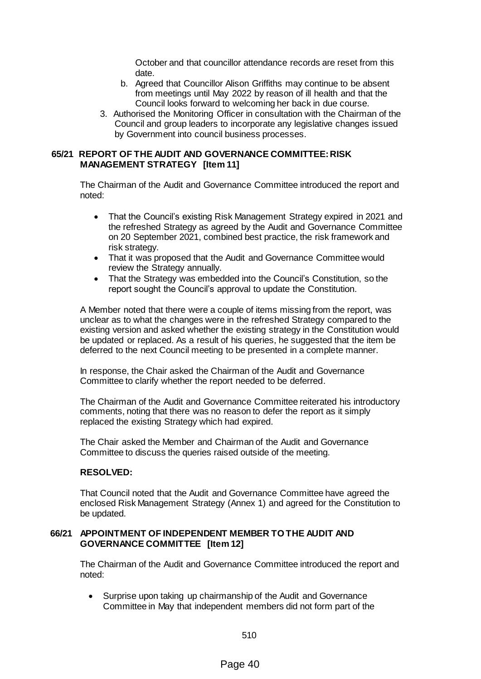October and that councillor attendance records are reset from this date.

- b. Agreed that Councillor Alison Griffiths may continue to be absent from meetings until May 2022 by reason of ill health and that the Council looks forward to welcoming her back in due course.
- 3. Authorised the Monitoring Officer in consultation with the Chairman of the Council and group leaders to incorporate any legislative changes issued by Government into council business processes.

## **65/21 REPORT OF THE AUDIT AND GOVERNANCE COMMITTEE: RISK MANAGEMENT STRATEGY [Item 11]**

The Chairman of the Audit and Governance Committee introduced the report and noted:

- That the Council's existing Risk Management Strategy expired in 2021 and the refreshed Strategy as agreed by the Audit and Governance Committee on 20 September 2021, combined best practice, the risk framework and risk strategy.
- That it was proposed that the Audit and Governance Committee would review the Strategy annually.
- That the Strategy was embedded into the Council's Constitution, so the report sought the Council's approval to update the Constitution.

A Member noted that there were a couple of items missing from the report, was unclear as to what the changes were in the refreshed Strategy compared to the existing version and asked whether the existing strategy in the Constitution would be updated or replaced. As a result of his queries, he suggested that the item be deferred to the next Council meeting to be presented in a complete manner.

In response, the Chair asked the Chairman of the Audit and Governance Committee to clarify whether the report needed to be deferred.

The Chairman of the Audit and Governance Committee reiterated his introductory comments, noting that there was no reason to defer the report as it simply replaced the existing Strategy which had expired.

The Chair asked the Member and Chairman of the Audit and Governance Committee to discuss the queries raised outside of the meeting.

## **RESOLVED:**

That Council noted that the Audit and Governance Committee have agreed the enclosed Risk Management Strategy (Annex 1) and agreed for the Constitution to be updated.

## **66/21 APPOINTMENT OF INDEPENDENT MEMBER TO THE AUDIT AND GOVERNANCE COMMITTEE [Item 12]**

The Chairman of the Audit and Governance Committee introduced the report and noted:

 Surprise upon taking up chairmanship of the Audit and Governance Committee in May that independent members did not form part of the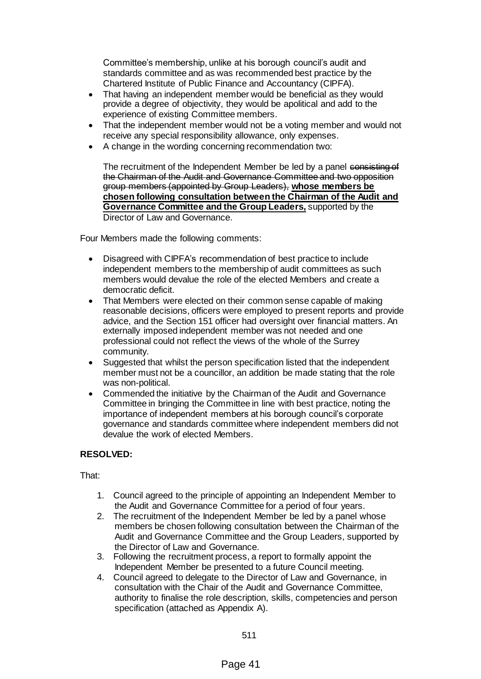Committee's membership, unlike at his borough council's audit and standards committee and as was recommended best practice by the Chartered Institute of Public Finance and Accountancy (CIPFA).

- That having an independent member would be beneficial as they would provide a degree of objectivity, they would be apolitical and add to the experience of existing Committee members.
- That the independent member would not be a voting member and would not receive any special responsibility allowance, only expenses.
- A change in the wording concerning recommendation two:

The recruitment of the Independent Member be led by a panel consisting of the Chairman of the Audit and Governance Committee and two opposition group members (appointed by Group Leaders), **whose members be chosen following consultation between the Chairman of the Audit and Governance Committee and the Group Leaders,** supported by the Director of Law and Governance.

Four Members made the following comments:

- Disagreed with CIPFA's recommendation of best practice to include independent members to the membership of audit committees as such members would devalue the role of the elected Members and create a democratic deficit.
- That Members were elected on their common sense capable of making reasonable decisions, officers were employed to present reports and provide advice, and the Section 151 officer had oversight over financial matters. An externally imposed independent member was not needed and one professional could not reflect the views of the whole of the Surrey community.
- Suggested that whilst the person specification listed that the independent member must not be a councillor, an addition be made stating that the role was non-political.
- Commended the initiative by the Chairman of the Audit and Governance Committee in bringing the Committee in line with best practice, noting the importance of independent members at his borough council's corporate governance and standards committee where independent members did not devalue the work of elected Members.

# **RESOLVED:**

That:

- 1. Council agreed to the principle of appointing an Independent Member to the Audit and Governance Committee for a period of four years.
- 2. The recruitment of the Independent Member be led by a panel whose members be chosen following consultation between the Chairman of the Audit and Governance Committee and the Group Leaders, supported by the Director of Law and Governance.
- 3. Following the recruitment process, a report to formally appoint the Independent Member be presented to a future Council meeting.
- 4. Council agreed to delegate to the Director of Law and Governance, in consultation with the Chair of the Audit and Governance Committee, authority to finalise the role description, skills, competencies and person specification (attached as Appendix A).